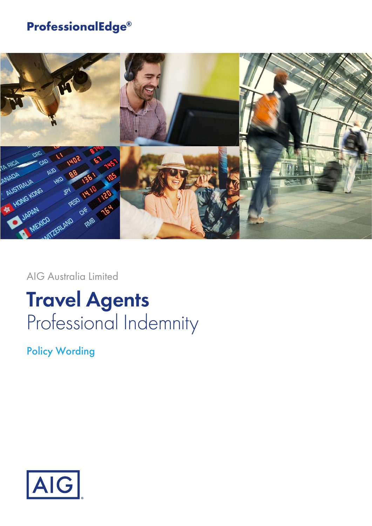## **ProfessionalEdge®**



AIG Australia Limited

# **Travel Agents** Professional Indemnity

Policy Wording

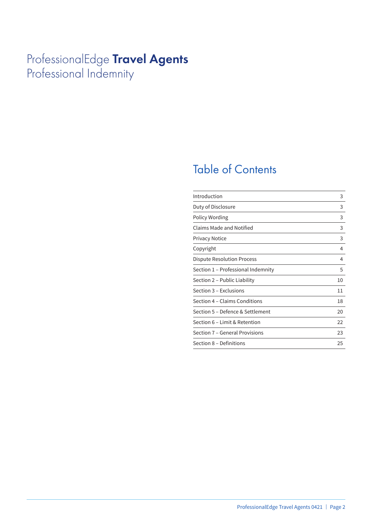## ProfessionalEdge **Travel Agents** Professional Indemnity

## Table of Contents

| Introduction                       | 3  |
|------------------------------------|----|
| Duty of Disclosure                 | 3  |
| Policy Wording                     | 3  |
| Claims Made and Notified           | 3  |
| <b>Privacy Notice</b>              | 3  |
| Copyright                          | 4  |
| Dispute Resolution Process         | 4  |
| Section 1 - Professional Indemnity | 5  |
| Section 2 - Public Liability       | 10 |
| Section 3 – Exclusions             | 11 |
| Section 4 – Claims Conditions      | 18 |
| Section 5 – Defence & Settlement   | 20 |
| Section 6 - Limit & Retention      | 22 |
| Section 7 – General Provisions     | 23 |
| Section 8 – Definitions            | 25 |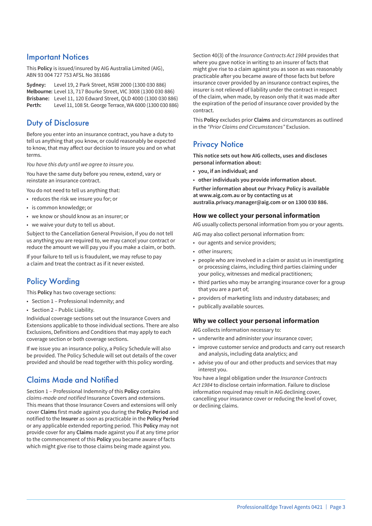### Important Notices

This **Policy** is issued/insured by AIG Australia Limited (AIG), ABN 93 004 727 753 AFSL No 381686

**Sydney:** Level 19, 2 Park Street, NSW 2000 (1300 030 886) **Melbourne:** Level 13, 717 Bourke Street, VIC 3008 (1300 030 886) **Brisbane:** Level 11, 120 Edward Street, QLD 4000 (1300 030 886) **Perth:** Level 11, 108 St. George Terrace, WA 6000 (1300 030 886)

### Duty of Disclosure

Before you enter into an insurance contract, you have a duty to tell us anything that you know, or could reasonably be expected to know, that may affect our decision to insure you and on what terms.

*You have this duty until we agree to insure you.*

You have the same duty before you renew, extend, vary or reinstate an insurance contract.

You do not need to tell us anything that:

- reduces the risk we insure you for; or
- is common knowledge; or
- we know or should know as an insurer; or
- we waive your duty to tell us about.

Subject to the Cancellation General Provision, if you do not tell us anything you are required to, we may cancel your contract or reduce the amount we will pay you if you make a claim, or both.

If your failure to tell us is fraudulent, we may refuse to pay a claim and treat the contract as if it never existed.

## Policy Wording

This **Policy** has two coverage sections:

- Section 1 Professional Indemnity; and
- Section 2 Public Liability.

Individual coverage sections set out the Insurance Covers and Extensions applicable to those individual sections. There are also Exclusions, Definitions and Conditions that may apply to each coverage section or both coverage sections.

If we issue you an insurance policy, a Policy Schedule will also be provided. The Policy Schedule will set out details of the cover provided and should be read together with this policy wording.

## Claims Made and Notified

Section 1 – Professional Indemnity of this **Policy** contains *claims-made and notified* Insurance Covers and extensions. This means that those Insurance Covers and extensions will only cover **Claims** first made against you during the **Policy Period** and notified to the **Insurer** as soon as practicable in the **Policy Period** or any applicable extended reporting period. This **Policy** may not provide cover for any **Claims** made against you if at any time prior to the commencement of this **Policy** you became aware of facts which might give rise to those claims being made against you.

Section 40(3) of the *Insurance Contracts Act 1984* provides that where you gave notice in writing to an insurer of facts that might give rise to a claim against you as soon as was reasonably practicable after you became aware of those facts but before insurance cover provided by an insurance contract expires, the insurer is not relieved of liability under the contract in respect of the claim, when made, by reason only that it was made after the expiration of the period of insurance cover provided by the contract.

This **Policy** excludes prior **Claims** and circumstances as outlined in the *"Prior Claims and Circumstances"* Exclusion.

## **Privacy Notice**

**This notice sets out how AIG collects, uses and discloses personal information about:**

- **you, if an individual; and**
- **other individuals you provide information about.**

**Further information about our Privacy Policy is available at www.aig.com.au or by contacting us at australia.privacy.manager@aig.com or on 1300 030 886.**

#### **How we collect your personal information**

AIG usually collects personal information from you or your agents.

- AIG may also collect personal information from:
- our agents and service providers;
- other insurers;
- people who are involved in a claim or assist us in investigating or processing claims, including third parties claiming under your policy, witnesses and medical practitioners;
- third parties who may be arranging insurance cover for a group that you are a part of;
- providers of marketing lists and industry databases; and
- publically available sources.

#### **Why we collect your personal information**

AIG collects information necessary to:

- underwrite and administer your insurance cover;
- improve customer service and products and carry out research and analysis, including data analytics; and
- advise you of our and other products and services that may interest you.

You have a legal obligation under the *Insurance Contracts Act 1984* to disclose certain information. Failure to disclose information required may result in AIG declining cover, cancelling your insurance cover or reducing the level of cover, or declining claims.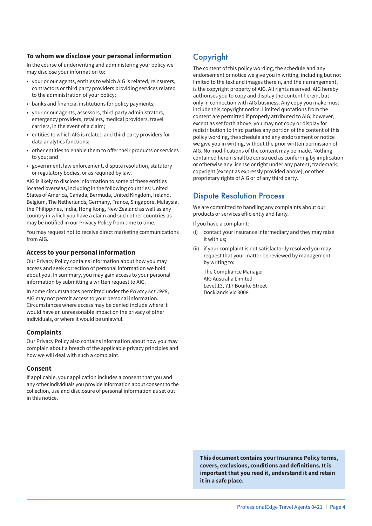#### **To whom we disclose your personal information**

In the course of underwriting and administering your policy we may disclose your information to:

- your or our agents, entities to which AIG is related, reinsurers, contractors or third party providers providing services related to the administration of your policy;
- banks and financial institutions for policy payments;
- your or our agents, assessors, third party administrators, emergency providers, retailers, medical providers, travel carriers, in the event of a claim;
- entities to which AIG is related and third party providers for data analytics functions;
- other entities to enable them to offer their products or services to you; and
- government, law enforcement, dispute resolution, statutory or regulatory bodies, or as required by law.

AIG is likely to disclose information to some of these entities located overseas, including in the following countries: United States of America, Canada, Bermuda, United Kingdom, Ireland, Belgium, The Netherlands, Germany, France, Singapore, Malaysia, the Philippines, India, Hong Kong, New Zealand as well as any country in which you have a claim and such other countries as may be notified in our Privacy Policy from time to time.

You may request not to receive direct marketing communications from AIG.

#### **Access to your personal information**

Our Privacy Policy contains information about how you may access and seek correction of personal information we hold about you. In summary, you may gain access to your personal information by submitting a written request to AIG.

In some circumstances permitted under the *Privacy Act 1988*, AIG may not permit access to your personal information. Circumstances where access may be denied include where it would have an unreasonable impact on the privacy of other individuals, or where it would be unlawful.

#### **Complaints**

Our Privacy Policy also contains information about how you may complain about a breach of the applicable privacy principles and how we will deal with such a complaint.

#### **Consent**

If applicable, your application includes a consent that you and any other individuals you provide information about consent to the collection, use and disclosure of personal information as set out in this notice.

## Copyright

The content of this policy wording, the schedule and any endorsement or notice we give you in writing, including but not limited to the text and images therein, and their arrangement, is the copyright property of AIG. All rights reserved. AIG hereby authorises you to copy and display the content herein, but only in connection with AIG business. Any copy you make must include this copyright notice. Limited quotations from the content are permitted if properly attributed to AIG; however, except as set forth above, you may not copy or display for redistribution to third parties any portion of the content of this policy wording, the schedule and any endorsement or notice we give you in writing, without the prior written permission of AIG. No modifications of the content may be made. Nothing contained herein shall be construed as conferring by implication or otherwise any license or right under any patent, trademark, copyright (except as expressly provided above), or other proprietary rights of AIG or of any third party.

### Dispute Resolution Process

We are committed to handling any complaints about our products or services efficiently and fairly.

If you have a complaint:

- (i) contact your insurance intermediary and they may raise it with us;
- (ii) if your complaint is not satisfactorily resolved you may request that your matter be reviewed by management by writing to:

The Compliance Manager AIG Australia Limited Level 13, 717 Bourke Street Docklands Vic 3008

**This document contains your Insurance Policy terms, covers, exclusions, conditions and definitions. It is important that you read it, understand it and retain it in a safe place.**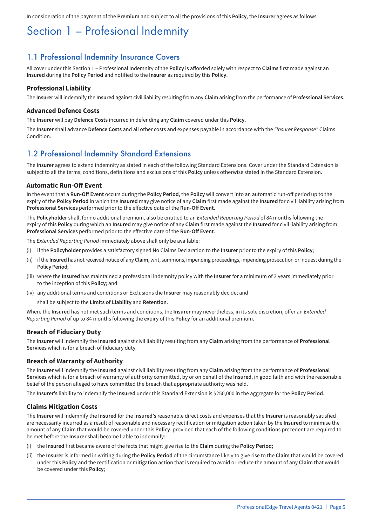In consideration of the payment of the **Premium** and subject to all the provisions of this **Policy**, the **Insurer** agrees as follows:

## Section 1 – Profesional Indemnity

### 1.1 Professional Indemnity Insurance Covers

All cover under this Section 1 – Professional Indemnity of the **Policy** is afforded solely with respect to **Claims** first made against an **Insured** during the **Policy Period** and notified to the **Insurer** as required by this **Policy**.

#### **Professional Liability**

The **Insurer** will indemnify the **Insured** against civil liability resulting from any **Claim** arising from the performance of **Professional Services**.

#### **Advanced Defence Costs**

The **Insurer** will pay **Defence Costs** incurred in defending any **Claim** covered under this **Policy**.

The **Insurer** shall advance **Defence Costs** and all other costs and expenses payable in accordance with the *"Insurer Response"* Claims **Condition** 

### 1.2 Professional Indemnity Standard Extensions

The **Insurer** agrees to extend indemnity as stated in each of the following Standard Extensions. Cover under the Standard Extension is subject to all the terms, conditions, definitions and exclusions of this **Policy** unless otherwise stated in the Standard Extension.

#### **Automatic Run-Off Event**

In the event that a **Run-Off Event** occurs during the **Policy Period**, the **Policy** will convert into an automatic run-off period up to the expiry of the **Policy Period** in which the **Insured** may give notice of any **Claim** first made against the **Insured** for civil liability arising from **Professional Services** performed prior to the effective date of the **Run-Off Event**.

The **Policyholder** shall, for no additional premium, also be entitled to an *Extended Reporting Period* of 84 months following the expiry of this **Policy** during which an **Insured** may give notice of any **Claim** first made against the **Insured** for civil liability arising from **Professional Services** performed prior to the effective date of the **Run-Off Event**.

The *Extended Reporting Period* immediately above shall only be available:

- (i) if the **Policyholder** provides a satisfactory signed No Claims Declaration to the **Insurer** prior to the expiry of this **Policy**;
- (ii) if the **Insured** has not received notice of any **Claim**, writ, summons, impending proceedings, impending prosecution or inquest during the **Policy Period**;
- (iii) where the **Insured** has maintained a professional indemnity policy with the **Insurer** for a minimum of 3 years immediately prior to the inception of this **Policy**; and
- (iv) any additional terms and conditions or Exclusions the **Insurer** may reasonably decide; and

shall be subject to the **Limits of Liability** and **Retention**.

Where the **Insured** has not met such terms and conditions, the **Insurer** may nevertheless, in its sole discretion, offer an *Extended Reporting Period* of up to 84 months following the expiry of this **Policy** for an additional premium.

#### **Breach of Fiduciary Duty**

The **Insurer** will indemnify the **Insured** against civil liability resulting from any **Claim** arising from the performance of **Professional Services** which is for a breach of fiduciary duty.

#### **Breach of Warranty of Authority**

The **Insurer** will indemnify the **Insured** against civil liability resulting from any **Claim** arising from the performance of **Professional Services** which is for a breach of warranty of authority committed, by or on behalf of the **Insured**, in good faith and with the reasonable belief of the person alleged to have committed the breach that appropriate authority was held.

The **Insurer's** liability to indemnify the **Insured** under this Standard Extension is \$250,000 in the aggregate for the **Policy Period**.

#### **Claims Mitigation Costs**

The **Insurer** will indemnify the **Insured** for the **Insured's** reasonable direct costs and expenses that the **Insurer** is reasonably satisfied are necessarily incurred as a result of reasonable and necessary rectification or mitigation action taken by the **Insured** to minimise the amount of any **Claim** that would be covered under this **Policy**, provided that each of the following conditions precedent are required to be met before the **Insurer** shall become liable to indemnify:

- (i) the **Insured** first became aware of the facts that might give rise to the **Claim** during the **Policy Period**;
- (ii) the **Insurer** is informed in writing during the **Policy Period** of the circumstance likely to give rise to the **Claim** that would be covered under this **Policy** and the rectification or mitigation action that is required to avoid or reduce the amount of any **Claim** that would be covered under this **Policy**;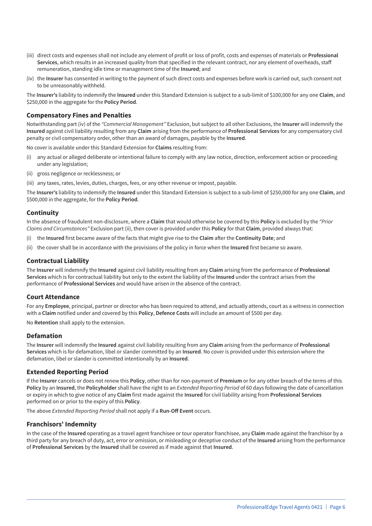- (iii) direct costs and expenses shall not include any element of profit or loss of profit, costs and expenses of materials or **Professional Services**, which results in an increased quality from that specified in the relevant contract, nor any element of overheads, staff remuneration, standing idle time or management time of the **Insured**; and
- (iv) the **Insurer** has consented in writing to the payment of such direct costs and expenses before work is carried out, such consent not to be unreasonably withheld.

The **Insurer's** liability to indemnify the **Insured** under this Standard Extension is subject to a sub-limit of \$100,000 for any one **Claim**, and \$250,000 in the aggregate for the **Policy Period**.

#### **Compensatory Fines and Penalties**

Notwithstanding part (iv) of the *"Commercial Management"* Exclusion, but subject to all other Exclusions, the **Insurer** will indemnify the **Insured** against civil liability resulting from any **Claim** arising from the performance of **Professional Services** for any compensatory civil penalty or civil compensatory order, other than an award of damages, payable by the **Insured**.

No cover is available under this Standard Extension for **Claims** resulting from:

- any actual or alleged deliberate or intentional failure to comply with any law notice, direction, enforcement action or proceeding under any legislation;
- (ii) gross negligence or recklessness; or
- (iii) any taxes, rates, levies, duties, charges, fees, or any other revenue or impost, payable.

The **Insurer's** liability to indemnify the **Insured** under this Standard Extension is subject to a sub-limit of \$250,000 for any one **Claim**, and \$500,000 in the aggregate, for the **Policy Period**.

#### **Continuity**

In the absence of fraudulent non-disclosure, where a **Claim** that would otherwise be covered by this **Policy** is excluded by the *"Prior Claims and Circumstances"* Exclusion part (ii), then cover is provided under this **Policy** for that **Claim**, provided always that:

- (i) the **Insured** first became aware of the facts that might give rise to the **Claim** after the **Continuity Date**; and
- (ii) the cover shall be in accordance with the provisions of the policy in force when the **Insured** first became so aware.

#### **Contractual Liability**

The **Insurer** will indemnify the **Insured** against civil liability resulting from any **Claim** arising from the performance of **Professional Services** which is for contractual liability but only to the extent the liability of the **Insured** under the contract arises from the performance of **Professional Services** and would have arisen in the absence of the contract.

#### **Court Attendance**

For any **Employee**, principal, partner or director who has been required to attend, and actually attends, court as a witness in connection with a **Claim** notified under and covered by this **Policy**, **Defence Costs** will include an amount of \$500 per day.

No **Retention** shall apply to the extension.

#### **Defamation**

The **Insurer** will indemnify the **Insured** against civil liability resulting from any **Claim** arising from the performance of **Professional Services** which is for defamation, libel or slander committed by an **Insured**. No cover is provided under this extension where the defamation, libel or slander is committed intentionally by an **Insured**.

#### **Extended Reporting Period**

If the **Insurer** cancels or does not renew this **Policy**, other than for non-payment of **Premium** or for any other breach of the terms of this **Policy** by an **Insured**, the **Policyholder** shall have the right to an *Extended Reporting Period* of 60 days following the date of cancellation or expiry in which to give notice of any **Claim** first made against the **Insured** for civil liability arising from **Professional Services** performed on or prior to the expiry of this **Policy**.

The above *Extended Reporting Period* shall not apply if a **Run-Off Event** occurs.

#### **Franchisors' Indemnity**

In the case of the **Insured** operating as a travel agent franchisee or tour operator franchisee, any **Claim** made against the franchisor by a third party for any breach of duty, act, error or omission, or misleading or deceptive conduct of the **Insured** arising from the performance of **Professional Services** by the **Insured** shall be covered as if made against that **Insured**.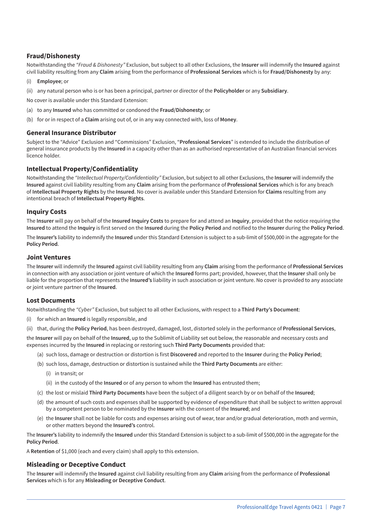#### **Fraud/Dishonesty**

Notwithstanding the *"Fraud & Dishonesty"* Exclusion, but subject to all other Exclusions, the **Insurer** will indemnify the **Insured** against civil liability resulting from any **Claim** arising from the performance of **Professional Services** which is for **Fraud/Dishonesty** by any:

- (i) **Employee**; or
- (ii) any natural person who is or has been a principal, partner or director of the **Policyholder** or any **Subsidiary**.

No cover is available under this Standard Extension:

- (a) to any **Insured** who has committed or condoned the **Fraud/Dishonesty**; or
- (b) for or in respect of a **Claim** arising out of, or in any way connected with, loss of **Money**.

#### **General Insurance Distributor**

Subject to the "Advice" Exclusion and "Commissions" Exclusion, "**Professional Services**" is extended to include the distribution of general insurance products by the **Insured** in a capacity other than as an authorised representative of an Australian financial services licence holder.

#### **Intellectual Property/Confidentiality**

Notwithstanding the *"Intellectual Property/Confidentiality"* Exclusion, but subject to all other Exclusions, the **Insurer** will indemnify the **Insured** against civil liability resulting from any **Claim** arising from the performance of **Professional Services** which is for any breach of **Intellectual Property Rights** by the **Insured**. No cover is available under this Standard Extension for **Claims** resulting from any intentional breach of **Intellectual Property Rights**.

#### **Inquiry Costs**

The **Insurer** will pay on behalf of the **Insured Inquiry Costs** to prepare for and attend an **Inquiry**, provided that the notice requiring the **Insured** to attend the **Inquiry** is first served on the **Insured** during the **Policy Period** and notified to the **Insurer** during the **Policy Period**.

The **Insurer's** liability to indemnify the **Insured** under this Standard Extension is subject to a sub-limit of \$500,000 in the aggregate for the **Policy Period**.

#### **Joint Ventures**

The **Insurer** will indemnify the **Insured** against civil liability resulting from any **Claim** arising from the performance of **Professional Services** in connection with any association or joint venture of which the **Insured** forms part; provided, however, that the **Insurer** shall only be liable for the proportion that represents the **Insured's** liability in such association or joint venture. No cover is provided to any associate or joint venture partner of the **Insured**.

#### **Lost Documents**

Notwithstanding the *"Cyber"* Exclusion, but subject to all other Exclusions, with respect to a **Third Party's Document**:

- (i) for which an **Insured** is legally responsible, and
- (ii) that, during the **Policy Period**, has been destroyed, damaged, lost, distorted solely in the performance of **Professional Services**,

the **Insurer** will pay on behalf of the **Insured**, up to the Sublimit of Liability set out below, the reasonable and necessary costs and expenses incurred by the **Insured** in replacing or restoring such **Third Party Documents** provided that:

- (a) such loss, damage or destruction or distortion is first **Discovered** and reported to the **Insurer** during the **Policy Period**;
- (b) such loss, damage, destruction or distortion is sustained while the **Third Party Documents** are either:
	- (i) in transit; or
	- (ii) in the custody of the **Insured** or of any person to whom the **Insured** has entrusted them;
- (c) the lost or mislaid **Third Party Documents** have been the subject of a diligent search by or on behalf of the **Insured**;
- (d) the amount of such costs and expenses shall be supported by evidence of expenditure that shall be subject to written approval by a competent person to be nominated by the **Insurer** with the consent of the **Insured**; and
- (e) the **Insurer** shall not be liable for costs and expenses arising out of wear, tear and/or gradual deterioration, moth and vermin, or other matters beyond the **Insured's** control.

The **Insurer's** liability to indemnify the **Insured** under this Standard Extension is subject to a sub-limit of \$500,000 in the aggregate for the **Policy Period**.

A **Retention** of \$1,000 (each and every claim) shall apply to this extension.

#### **Misleading or Deceptive Conduct**

The **Insurer** will indemnify the **Insured** against civil liability resulting from any **Claim** arising from the performance of **Professional Services** which is for any **Misleading or Deceptive Conduct**.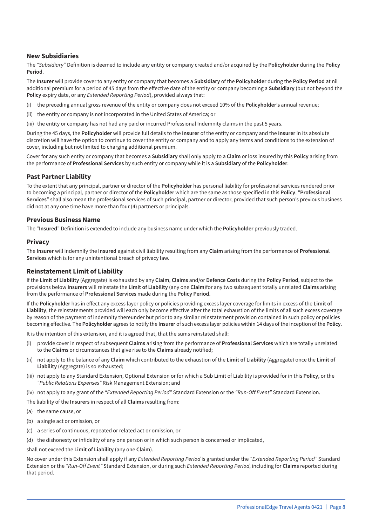#### **New Subsidiaries**

The *"Subsidiary"* Definition is deemed to include any entity or company created and/or acquired by the **Policyholder** during the **Policy Period**.

The **Insurer** will provide cover to any entity or company that becomes a **Subsidiary** of the **Policyholder** during the **Policy Period** at nil additional premium for a period of 45 days from the effective date of the entity or company becoming a **Subsidiary** (but not beyond the **Policy** expiry date, or any *Extended Reporting Period*), provided always that:

- (i) the preceding annual gross revenue of the entity or company does not exceed 10% of the **Policyholder's** annual revenue;
- (ii) the entity or company is not incorporated in the United States of America; or
- (iii) the entity or company has not had any paid or incurred Professional Indemnity claims in the past 5 years.

During the 45 days, the **Policyholder** will provide full details to the **Insurer** of the entity or company and the **Insurer** in its absolute discretion will have the option to continue to cover the entity or company and to apply any terms and conditions to the extension of cover, including but not limited to charging additional premium.

Cover for any such entity or company that becomes a **Subsidiary** shall only apply to a **Claim** or loss insured by this **Policy** arising from the performance of **Professional Services** by such entity or company while it is a **Subsidiary** of the **Policyholder**.

#### **Past Partner Liability**

To the extent that any principal, partner or director of the **Policyholder** has personal liability for professional services rendered prior to becoming a principal, partner or director of the **Policyholder** which are the same as those specified in this **Policy**, "**Professional Services**" shall also mean the professional services of such principal, partner or director, provided that such person's previous business did not at any one time have more than four (4) partners or principals.

#### **Previous Business Name**

The "**Insured**" Definition is extended to include any business name under which the **Policyholder** previously traded.

#### **Privacy**

The **Insurer** will indemnify the **Insured** against civil liability resulting from any **Claim** arising from the performance of **Professional Services** which is for any unintentional breach of privacy law.

#### **Reinstatement Limit of Liability**

If the **Limit of Liability** (Aggregate) is exhausted by any **Claim**, **Claims** and/or **Defence Costs** during the **Policy Period**, subject to the provisions below **Insurers** will reinstate the **Limit of Liability** (any one **Claim**)for any two subsequent totally unrelated **Claims** arising from the performance of **Professional Services** made during the **Policy Period**.

If the **Policyholder** has in effect any excess layer policy or policies providing excess layer coverage for limits in excess of the **Limit of Liability**, the reinstatements provided will each only become effective after the total exhaustion of the limits of all such excess coverage by reason of the payment of indemnity thereunder but prior to any similar reinstatement provision contained in such policy or policies becoming effective. The **Policyholder** agrees to notify the **Insurer** of such excess layer policies within 14 days of the inception of the **Policy**.

It is the intention of this extension, and it is agreed that, that the sums reinstated shall:

- (i) provide cover in respect of subsequent **Claims** arising from the performance of **Professional Services** which are totally unrelated to the **Claims** or circumstances that give rise to the **Claims** already notified;
- (ii) not apply to the balance of any **Claim** which contributed to the exhaustion of the **Limit of Liability** (Aggregate) once the **Limit of Liability** (Aggregate) is so exhausted;
- (iii) not apply to any Standard Extension, Optional Extension or for which a Sub Limit of Liability is provided for in this **Policy**, or the *"Public Relations Expenses"* Risk Management Extension; and
- (iv) not apply to any grant of the *"Extended Reporting Period"* Standard Extension or the *"Run-Off Event"* Standard Extension.

The liability of the **Insurers** in respect of all **Claims** resulting from:

- (a) the same cause, or
- (b) a single act or omission, or
- (c) a series of continuous, repeated or related act or omission, or
- (d) the dishonesty or infidelity of any one person or in which such person is concerned or implicated,

shall not exceed the **Limit of Liability** (any one **Claim**).

No cover under this Extension shall apply if any *Extended Reporting Period* is granted under the *"Extended Reporting Period"* Standard Extension or the *"Run-Off Event"* Standard Extension, or during such *Extended Reporting Period*, including for **Claims** reported during that period.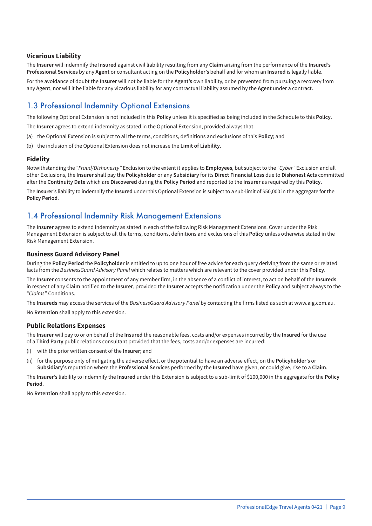#### **Vicarious Liability**

The **Insurer** will indemnify the **Insured** against civil liability resulting from any **Claim** arising from the performance of the **Insured's Professional Services** by any **Agent** or consultant acting on the **Policyholder's** behalf and for whom an **Insured** is legally liable.

For the avoidance of doubt the **Insurer** will not be liable for the **Agent's** own liability, or be prevented from pursuing a recovery from any **Agent**, nor will it be liable for any vicarious liability for any contractual liability assumed by the **Agent** under a contract.

## 1.3 Professional Indemnity Optional Extensions

The following Optional Extension is not included in this **Policy** unless it is specified as being included in the Schedule to this **Policy**.

The **Insurer** agrees to extend indemnity as stated in the Optional Extension, provided always that:

- (a) the Optional Extension is subject to all the terms, conditions, definitions and exclusions of this **Policy**; and
- (b) the inclusion of the Optional Extension does not increase the **Limit of Liability**.

#### **Fidelity**

Notwithstanding the *"Fraud/Dishonesty"* Exclusion to the extent it applies to **Employees**, but subject to the *"Cyber"* Exclusion and all other Exclusions, the **Insurer** shall pay the **Policyholder** or any **Subsidiary** for its **Direct Financial Loss** due to **Dishonest Acts** committed after the **Continuity Date** which are **Discovered** during the **Policy Period** and reported to the **Insurer** as required by this **Policy**.

The **Insurer**'s liability to indemnify the **Insured** under this Optional Extension is subject to a sub-limit of \$50,000 in the aggregate for the **Policy Period**.

### 1.4 Professional Indemnity Risk Management Extensions

The **Insurer** agrees to extend indemnity as stated in each of the following Risk Management Extensions. Cover under the Risk Management Extension is subject to all the terms, conditions, definitions and exclusions of this **Policy** unless otherwise stated in the Risk Management Extension.

#### **Business Guard Advisory Panel**

During the **Policy Period** the **Policyholder** is entitled to up to one hour of free advice for each query deriving from the same or related facts from the *BusinessGuard Advisory Panel* which relates to matters which are relevant to the cover provided under this **Policy**.

The **Insurer** consents to the appointment of any member firm, in the absence of a conflict of interest, to act on behalf of the **Insureds** in respect of any **Claim** notified to the **Insurer**, provided the **Insurer** accepts the notification under the **Policy** and subject always to the "*Claims*" Conditions.

The **Insureds** may access the services of the *BusinessGuard Advisory Panel* by contacting the firms listed as such at www.aig.com.au.

No **Retention** shall apply to this extension.

#### **Public Relations Expenses**

The **Insurer** will pay to or on behalf of the **Insured** the reasonable fees, costs and/or expenses incurred by the **Insured** for the use of a **Third Party** public relations consultant provided that the fees, costs and/or expenses are incurred:

- (i) with the prior written consent of the **Insurer**; and
- (ii) for the purpose only of mitigating the adverse effect, or the potential to have an adverse effect, on the **Policyholder's** or **Subsidiary's** reputation where the **Professional Services** performed by the **Insured** have given, or could give, rise to a **Claim**.

The **Insurer's** liability to indemnify the **Insured** under this Extension is subject to a sub-limit of \$100,000 in the aggregate for the **Policy Period**.

No **Retention** shall apply to this extension.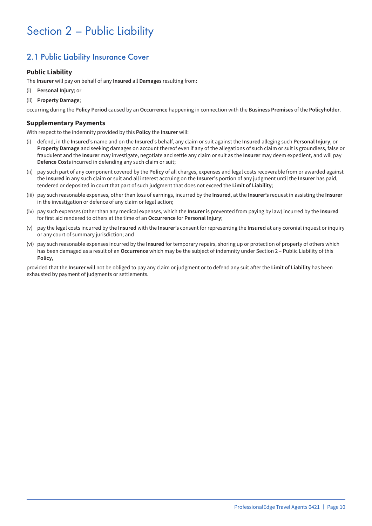## Section 2 – Public Liability

## 2.1 Public Liability Insurance Cover

#### **Public Liability**

The **Insurer** will pay on behalf of any **Insured** all **Damages** resulting from:

- (i) **Personal Injury**; or
- (ii) **Property Damage**;

occurring during the **Policy Period** caused by an **Occurrence** happening in connection with the **Business Premises** of the **Policyholder**.

#### **Supplementary Payments**

With respect to the indemnity provided by this **Policy** the **Insurer** will:

- (i) defend, in the **Insured's** name and on the **Insured's** behalf, any claim or suit against the **Insured** alleging such **Personal Injury**, or **Property Damage** and seeking damages on account thereof even if any of the allegations of such claim or suit is groundless, false or fraudulent and the **Insurer** may investigate, negotiate and settle any claim or suit as the **Insurer** may deem expedient, and will pay **Defence Costs** incurred in defending any such claim or suit;
- (ii) pay such part of any component covered by the **Policy** of all charges, expenses and legal costs recoverable from or awarded against the **Insured** in any such claim or suit and all interest accruing on the **Insurer's** portion of any judgment until the **Insurer** has paid, tendered or deposited in court that part of such judgment that does not exceed the **Limit of Liability**;
- (iii) pay such reasonable expenses, other than loss of earnings, incurred by the **Insured**, at the **Insurer's** request in assisting the **Insurer** in the investigation or defence of any claim or legal action;
- (iv) pay such expenses (other than any medical expenses, which the **Insurer** is prevented from paying by law) incurred by the **Insured** for first aid rendered to others at the time of an **Occurrence** for **Personal Injury**;
- (v) pay the legal costs incurred by the **Insured** with the **Insurer's** consent for representing the **Insured** at any coronial inquest or inquiry or any court of summary jurisdiction; and
- (vi) pay such reasonable expenses incurred by the **Insured** for temporary repairs, shoring up or protection of property of others which has been damaged as a result of an **Occurrence** which may be the subject of indemnity under Section 2 – Public Liability of this **Policy**,

provided that the **Insurer** will not be obliged to pay any claim or judgment or to defend any suit after the **Limit of Liability** has been exhausted by payment of judgments or settlements.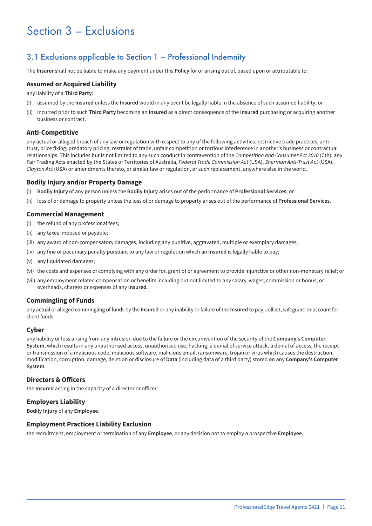## Section 3 – Exclusions

### 3.1 Exclusions applicable to Section 1 – Professional Indemnity

The **Insurer** shall not be liable to make any payment under this **Policy** for or arising out of, based upon or attributable to:

#### **Assumed or Acquired Liability**

any liability of a **Third Party**:

- (i) assumed by the **Insured** unless the **Insured** would in any event be legally liable in the absence of such assumed liability; or
- (ii) incurred prior to such **Third Party** becoming an **Insured** as a direct consequence of the **Insured** purchasing or acquiring another business or contract.

#### **Anti-Competitive**

any actual or alleged breach of any law or regulation with respect to any of the following activities: restrictive trade practices, antitrust, price fixing, predatory pricing, restraint of trade, unfair competition or tortious interference in another's business or contractual relationships. This includes but is not limited to any such conduct in contravention of the *Competition and Consumer Act 2010* (Cth), any Fair Trading Acts enacted by the States or Territories of Australia, *Federal Trade Commission Act* (USA), *Sherman Anti-Trust Act* (USA), *Clayton Act* (USA) or amendments thereto, or similar law or regulation, or such replacement, anywhere else in the world.

#### **Bodily Injury and/or Property Damage**

- (i) **Bodily Injury** of any person unless the **Bodily Injury** arises out of the performance of **Professional Services**; or
- (ii) loss of or damage to property unless the loss of or damage to property arises out of the performance of **Professional Services**.

#### **Commercial Management**

- (i) the refund of any professional fees;
- (ii) any taxes imposed or payable;
- (iii) any award of non-compensatory damages, including any punitive, aggravated, multiple or exemplary damages;
- (iv) any fine or pecuniary penalty pursuant to any law or regulation which an **Insured** is legally liable to pay;
- (v) any liquidated damages;
- (vi) the costs and expenses of complying with any order for, grant of or agreement to provide injunctive or other non-monetary relief; or
- (vii) any employment related compensation or benefits including but not limited to any salary, wages, commission or bonus, or overheads, charges or expenses of any **Insured**.

#### **Commingling of Funds**

any actual or alleged commingling of funds by the **Insured** or any inability or failure of the **Insured** to pay, collect, safeguard or account for client funds.

#### **Cyber**

any liability or loss arising from any intrusion due to the failure or the circumvention of the security of the **Company's Computer System**, which results in any unauthorised access, unauthorised use, hacking, a denial of service attack, a denial of access, the receipt or transmission of a malicious code, malicious software, malicious email, ransomware, trojan or virus which causes the destruction, modification, corruption, damage, deletion or disclosure of **Data** (including data of a third party) stored on any **Company's Computer System**.

#### **Directors & Officers**

the **Insured** acting in the capacity of a director or officer.

#### **Employers Liability**

**Bodily Injury** of any **Employee**.

#### **Employment Practices Liability Exclusion**

the recruitment, employment or termination of any **Employee**, or any decision not to employ a prospective **Employee**.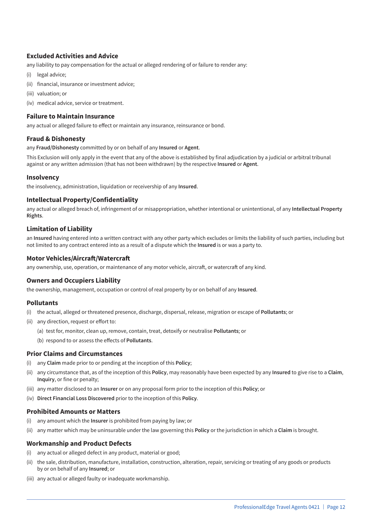#### **Excluded Activities and Advice**

any liability to pay compensation for the actual or alleged rendering of or failure to render any:

- (i) legal advice;
- (ii) financial, insurance or investment advice;
- (iii) valuation; or
- (iv) medical advice, service or treatment.

#### **Failure to Maintain Insurance**

any actual or alleged failure to effect or maintain any insurance, reinsurance or bond.

#### **Fraud & Dishonesty**

any **Fraud/Dishonesty** committed by or on behalf of any **Insured** or **Agent**.

This Exclusion will only apply in the event that any of the above is established by final adjudication by a judicial or arbitral tribunal against or any written admission (that has not been withdrawn) by the respective **Insured** or **Agent**.

#### **Insolvency**

the insolvency, administration, liquidation or receivership of any **Insured**.

#### **Intellectual Property/Confidentiality**

any actual or alleged breach of, infringement of or misappropriation, whether intentional or unintentional, of any **Intellectual Property Rights**.

#### **Limitation of Liability**

an **Insured** having entered into a written contract with any other party which excludes or limits the liability of such parties, including but not limited to any contract entered into as a result of a dispute which the **Insured** is or was a party to.

#### **Motor Vehicles/Aircraft/Watercraft**

any ownership, use, operation, or maintenance of any motor vehicle, aircraft, or watercraft of any kind.

#### **Owners and Occupiers Liability**

the ownership, management, occupation or control of real property by or on behalf of any **Insured**.

#### **Pollutants**

- (i) the actual, alleged or threatened presence, discharge, dispersal, release, migration or escape of **Pollutants**; or
- (ii) any direction, request or effort to:
	- (a) test for, monitor, clean up, remove, contain, treat, detoxify or neutralise **Pollutants**; or
	- (b) respond to or assess the effects of **Pollutants**.

#### **Prior Claims and Circumstances**

- (i) any **Claim** made prior to or pending at the inception of this **Policy**;
- (ii) any circumstance that, as of the inception of this **Policy**, may reasonably have been expected by any **Insured** to give rise to a **Claim**, **Inquiry**, or fine or penalty;
- (iii) any matter disclosed to an **Insurer** or on any proposal form prior to the inception of this **Policy**; or
- (iv) **Direct Financial Loss Discovered** prior to the inception of this **Policy**.

#### **Prohibited Amounts or Matters**

- (i) any amount which the **Insurer** is prohibited from paying by law; or
- (ii) any matter which may be uninsurable under the law governing this **Policy** or the jurisdiction in which a **Claim** is brought.

#### **Workmanship and Product Defects**

- (i) any actual or alleged defect in any product, material or good;
- (ii) the sale, distribution, manufacture, installation, construction, alteration, repair, servicing or treating of any goods or products by or on behalf of any **Insured**; or
- (iii) any actual or alleged faulty or inadequate workmanship.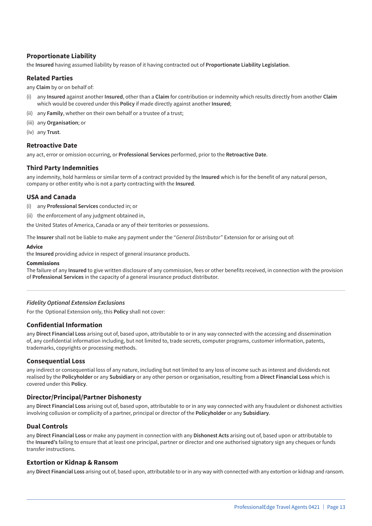#### **Proportionate Liability**

the **Insured** having assumed liability by reason of it having contracted out of **Proportionate Liability Legislation**.

#### **Related Parties**

any **Claim** by or on behalf of:

- (i) any **Insured** against another **Insured**, other than a **Claim** for contribution or indemnity which results directly from another **Claim** which would be covered under this **Policy** if made directly against another **Insured**;
- (ii) any **Family**, whether on their own behalf or a trustee of a trust;
- (iii) any **Organisation**; or
- (iv) any **Trust**.

#### **Retroactive Date**

any act, error or omission occurring, or **Professional Services** performed, prior to the **Retroactive Date**.

#### **Third Party Indemnities**

any indemnity, hold harmless or similar term of a contract provided by the **Insured** which is for the benefit of any natural person, company or other entity who is not a party contracting with the **Insured**.

#### **USA and Canada**

(i) any **Professional Services** conducted in; or

(ii) the enforcement of any judgment obtained in,

the United States of America, Canada or any of their territories or possessions.

The **Insurer** shall not be liable to make any payment under the "*General Distributor*" Extension for or arising out of:

#### **Advice**

the **Insured** providing advice in respect of general insurance products.

#### **Commissions**

The failure of any **Insured** to give written disclosure of any commission, fees or other benefits received, in connection with the provision of **Professional Services** in the capacity of a general insurance product distributor.

#### *Fidelity Optional Extension Exclusions*

For the Optional Extension only, this **Policy** shall not cover:

#### **Confidential Information**

any **Direct Financial Loss** arising out of, based upon, attributable to or in any way connected with the accessing and dissemination of, any confidential information including, but not limited to, trade secrets, computer programs, customer information, patents, trademarks, copyrights or processing methods.

#### **Consequential Loss**

any indirect or consequential loss of any nature, including but not limited to any loss of income such as interest and dividends not realised by the **Policyholder** or any **Subsidiary** or any other person or organisation, resulting from a **Direct Financial Loss** which is covered under this **Policy**.

#### **Director/Principal/Partner Dishonesty**

any **Direct Financial Loss** arising out of, based upon, attributable to or in any way connected with any fraudulent or dishonest activities involving collusion or complicity of a partner, principal or director of the **Policyholder** or any **Subsidiary**.

#### **Dual Controls**

any **Direct Financial Loss** or make any payment in connection with any **Dishonest Acts** arising out of, based upon or attributable to the **Insured's** failing to ensure that at least one principal, partner or director and one authorised signatory sign any cheques or funds transfer instructions.

#### **Extortion or Kidnap & Ransom**

any **Direct Financial Loss** arising out of, based upon, attributable to or in any way with connected with any extortion or kidnap and ransom.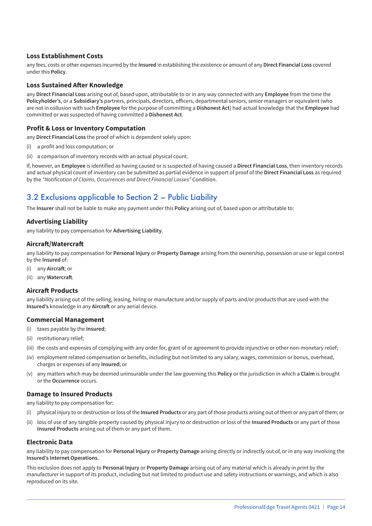#### **Loss Establishment Costs**

any fees, costs or other expenses incurred by the **Insured** in establishing the existence or amount of any **Direct Financial Loss** covered under this **Policy**.

#### **Loss Sustained After Knowledge**

any **Direct Financial Loss** arising out of, based upon, attributable to or in any way connected with any **Employee** from the time the **Policyholder's**, or a **Subsidiary's** partners, principals, directors, officers, departmental seniors, senior managers or equivalent (who are not in collusion with such **Employee** for the purpose of committing a **Dishonest Act**) had actual knowledge that the **Employee** had committed or was suspected of having committed a **Dishonest Act**.

#### **Profit & Loss or Inventory Computation**

any **Direct Financial Loss** the proof of which is dependent solely upon:

- (i) a profit and loss computation; or
- (ii) a comparison of inventory records with an actual physical count.

If, however, an **Employee** is identified as having caused or is suspected of having caused a **Direct Financial Loss**, then inventory records and actual physical count of inventory can be submitted as partial evidence in support of proof of the **Direct Financial Loss** as required by the *"Notification of Claims, Occurrences and Direct Financial Losses"* Condition.

## 3.2 Exclusions applicable to Section 2 – Public Liability

The **Insurer** shall not be liable to make any payment under this **Policy** arising out of, based upon or attributable to:

#### **Advertising Liability**

any liability to pay compensation for **Advertising Liability**.

#### **Aircraft/Watercraft**

any liability to pay compensation for **Personal Injury** or **Property Damage** arising from the ownership, possession or use or legal control by the **Insured** of:

- (i) any **Aircraft**; or
- (ii) any **Watercraft**.

#### **Aircraft Products**

any liability arising out of the selling, leasing, hiring or manufacture and/or supply of parts and/or products that are used with the **Insured's** knowledge in any **Aircraft** or any aerial device.

#### **Commercial Management**

- (i) taxes payable by the **Insured**;
- (ii) restitutionary relief;
- (iii) the costs and expenses of complying with any order for, grant of or agreement to provide injunctive or other non-monetary relief;
- (iv) employment related compensation or benefits, including but not limited to any salary, wages, commission or bonus, overhead, charges or expenses of any **Insured**; or
- (v) any matters which may be deemed uninsurable under the law governing this **Policy** or the jurisdiction in which a **Claim** is brought or the **Occurrence** occurs.

#### **Damage to Insured Products**

any liability to pay compensation for:

- (i) physical injury to or destruction or loss of the **Insured Products** or any part of those products arising out of them or any part of them; or
- (ii) loss of use of any tangible property caused by physical injury to or destruction or loss of the **Insured Products** or any part of those **Insured Products** arising out of them or any part of them.

#### **Electronic Data**

any liability to pay compensation for **Personal Injury** or **Property Damage** arising directly or indirectly out of, or in any way involving the **Insured's Internet Operations.**

This exclusion does not apply to **Personal Injury** or **Property Damage** arising out of any material which is already in print by the manufacturer in support of its product, including but not limited to product use and safety instructions or warnings, and which is also reproduced on its site.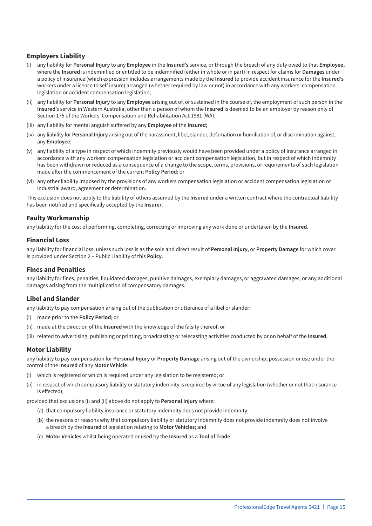#### **Employers Liability**

- (i) any liability for **Personal Injury** to any **Employee** in the **Insured's** service, or through the breach of any duty owed to that **Employee,** where the **Insured** is indemnified or entitled to be indemnified (either in whole or in part) in respect for claims for **Damages** under a policy of insurance (which expression includes arrangements made by the **Insured** to provide accident insurance for the **Insured's** workers under a licence to self insure) arranged (whether required by law or not) in accordance with any workers' compensation legislation or accident compensation legislation;
- (ii) any liability for **Personal Injury** to any **Employee** arising out of, or sustained in the course of, the employment of such person in the **Insured**'s service in Western Australia, other than a person of whom the **Insured** is deemed to be an employer by reason only of Section 175 of the Workers' Compensation and Rehabilitation Act 1981 (WA);
- (iii) any liability for mental anguish suffered by any **Employee** of the **Insured**;
- (iv) any liability for **Personal Injury** arising out of the harassment, libel, slander, defamation or humiliation of, or discrimination against, any **Employee**;
- (v) any liability of a type in respect of which indemnity previously would have been provided under a policy of insurance arranged in accordance with any workers' compensation legislation or accident compensation legislation, but in respect of which indemnity has been withdrawn or reduced as a consequence of a change to the scope, terms, provisions, or requirements of such legislation made after the commencement of the current **Policy Period**; or
- (vi) any other liability imposed by the provisions of any workers compensation legislation or accident compensation legislation or industrial award, agreement or determination.

This exclusion does not apply to the liability of others assumed by the **Insured** under a written contract where the contractual liability has been notified and specifically accepted by the **Insurer**.

#### **Faulty Workmanship**

any liability for the cost of performing, completing, correcting or improving any work done or undertaken by the **Insured**.

#### **Financial Loss**

any liability for financial loss, unless such loss is as the sole and direct result of **Personal Injury**, or **Property Damage** for which cover is provided under Section 2 – Public Liability of this **Policy**.

#### **Fines and Penalties**

any liability for fines, penalties, liquidated damages, punitive damages, exemplary damages, or aggravated damages, or any additional damages arising from the multiplication of compensatory damages.

#### **Libel and Slander**

any liability to pay compensation arising out of the publication or utterance of a libel or slander:

- (i) made prior to the **Policy Period**; or
- (ii) made at the direction of the **Insured** with the knowledge of the falsity thereof; or
- (iii) related to advertising, publishing or printing, broadcasting or telecasting activities conducted by or on behalf of the **Insured**.

#### **Motor Liability**

any liability to pay compensation for **Personal Injury** or **Property Damage** arising out of the ownership, possession or use under the control of the **Insured** of any **Motor Vehicle**:

- (i) which is registered or which is required under any legislation to be registered; or
- (ii) in respect of which compulsory liability or statutory indemnity is required by virtue of any legislation (whether or not that insurance is effected),

provided that exclusions (i) and (ii) above do not apply to **Personal Injury** where:

- (a) that compulsory liability insurance or statutory indemnity does not provide indemnity;
- (b) the reasons or reasons why that compulsory liability or statutory indemnity does not provide indemnity does not involve a breach by the **Insured** of legislation relating to **Motor Vehicles**; and
- (c) **Motor Vehicles** whilst being operated or used by the **Insured** as a **Tool of Trade**.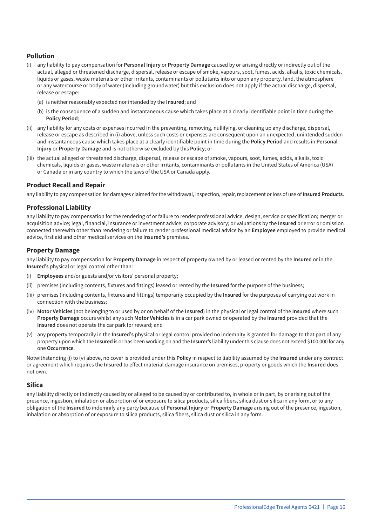#### **Pollution**

- (i) any liability to pay compensation for **Personal Injury** or **Property Damage** caused by or arising directly or indirectly out of the actual, alleged or threatened discharge, dispersal, release or escape of smoke, vapours, soot, fumes, acids, alkalis, toxic chemicals, liquids or gases, waste materials or other irritants, contaminants or pollutants into or upon any property, land, the atmosphere or any watercourse or body of water (including groundwater) but this exclusion does not apply if the actual discharge, dispersal, release or escape:
	- (a) is neither reasonably expected nor intended by the **Insured**; and
	- (b) is the consequence of a sudden and instantaneous cause which takes place at a clearly identifiable point in time during the **Policy Period**;
- (ii) any liability for any costs or expenses incurred in the preventing, removing, nullifying, or cleaning up any discharge, dispersal, release or escape as described in (i) above, unless such costs or expenses are consequent upon an unexpected, unintended sudden and instantaneous cause which takes place at a clearly identifiable point in time during the **Policy Period** and results in **Personal Injury** or **Property Damage** and is not otherwise excluded by this **Policy**; or
- (iii) the actual alleged or threatened discharge, dispersal, release or escape of smoke, vapours, soot, fumes, acids, alkalis, toxic chemicals, liquids or gases, waste materials or other irritants, contaminants or pollutants in the United States of America (USA) or Canada or in any country to which the laws of the USA or Canada apply.

#### **Product Recall and Repair**

any liability to pay compensation for damages claimed for the withdrawal, inspection, repair, replacement or loss of use of **Insured Products**.

#### **Professional Liability**

any liability to pay compensation for the rendering of or failure to render professional advice, design, service or specification; merger or acquisition advice; legal, financial, insurance or investment advice; corporate advisory; or valuations by the **Insured** or error or omission connected therewith other than rendering or failure to render professional medical advice by an **Employee** employed to provide medical advice, first aid and other medical services on the **Insured's** premises.

#### **Property Damage**

any liability to pay compensation for **Property Damage** in respect of property owned by or leased or rented by the **Insured** or in the **Insured's** physical or legal control other than:

- (i) **Employees** and/or guests and/or visitors' personal property;
- (ii) premises (including contents, fixtures and fittings) leased or rented by the **Insured** for the purpose of the business;
- (iii) premises (including contents, fixtures and fittings) temporarily occupied by the **Insured** for the purposes of carrying out work in connection with the business;
- (iv) **Motor Vehicles** (not belonging to or used by or on behalf of the **Insured**) in the physical or legal control of the **Insured** where such **Property Damage** occurs whilst any such **Motor Vehicles** is in a car park owned or operated by the **Insured** provided that the **Insured** does not operate the car park for reward; and
- (v) any property temporarily in the **Insured's** physical or legal control provided no indemnity is granted for damage to that part of any property upon which the **Insured** is or has been working on and the **Insurer's** liability under this clause does not exceed \$100,000 for any one **Occurrence**.

Notwithstanding (i) to (v) above, no cover is provided under this **Policy** in respect to liability assumed by the **Insured** under any contract or agreement which requires the **Insured** to effect material damage insurance on premises, property or goods which the **Insured** does not own.

#### **Silica**

any liability directly or indirectly caused by or alleged to be caused by or contributed to, in whole or in part, by or arising out of the presence, ingestion, inhalation or absorption of or exposure to silica products, silica fibers, silica dust or silica in any form, or to any obligation of the **Insured** to indemnify any party because of **Personal Injury** or **Property Damage** arising out of the presence, ingestion, inhalation or absorption of or exposure to silica products, silica fibers, silica dust or silica in any form.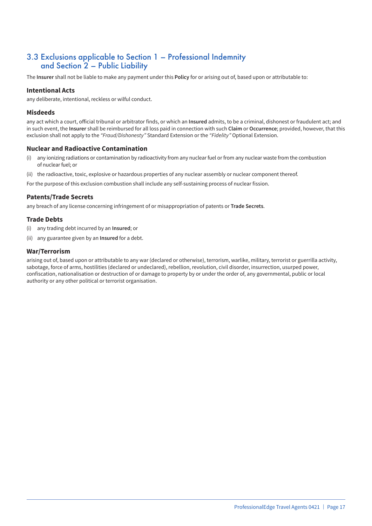### 3.3 Exclusions applicable to Section 1 – Professional Indemnity and Section 2 – Public Liability

The **Insurer** shall not be liable to make any payment under this **Policy** for or arising out of, based upon or attributable to:

#### **Intentional Acts**

any deliberate, intentional, reckless or wilful conduct.

#### **Misdeeds**

any act which a court, official tribunal or arbitrator finds, or which an **Insured** admits, to be a criminal, dishonest or fraudulent act; and in such event, the **Insurer** shall be reimbursed for all loss paid in connection with such **Claim** or **Occurrence**; provided, however, that this exclusion shall not apply to the *"Fraud/Dishonesty"* Standard Extension or the *"Fidelity"* Optional Extension.

#### **Nuclear and Radioactive Contamination**

- (i) any ionizing radiations or contamination by radioactivity from any nuclear fuel or from any nuclear waste from the combustion of nuclear fuel; or
- (ii) the radioactive, toxic, explosive or hazardous properties of any nuclear assembly or nuclear component thereof.
- For the purpose of this exclusion combustion shall include any self-sustaining process of nuclear fission.

#### **Patents/Trade Secrets**

any breach of any license concerning infringement of or misappropriation of patents or **Trade Secrets**.

#### **Trade Debts**

- (i) any trading debt incurred by an **Insured**; or
- (ii) any guarantee given by an **Insured** for a debt.

#### **War/Terrorism**

arising out of, based upon or attributable to any war (declared or otherwise), terrorism, warlike, military, terrorist or guerrilla activity, sabotage, force of arms, hostilities (declared or undeclared), rebellion, revolution, civil disorder, insurrection, usurped power, confiscation, nationalisation or destruction of or damage to property by or under the order of, any governmental, public or local authority or any other political or terrorist organisation.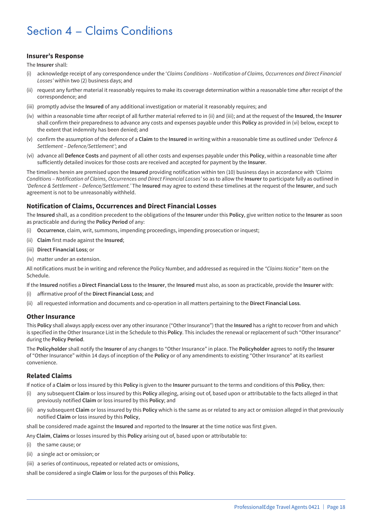## Section 4 – Claims Conditions

#### **Insurer's Response**

The **Insurer** shall:

- (i) acknowledge receipt of any correspondence under the '*Claims Conditions Notification of Claims, Occurrences and Direct Financial Losses'* within two (2) business days; and
- (ii) request any further material it reasonably requires to make its coverage determination within a reasonable time after receipt of the correspondence; and
- (iii) promptly advise the **Insured** of any additional investigation or material it reasonably requires; and
- (iv) within a reasonable time after receipt of all further material referred to in (ii) and (iii); and at the request of the **Insured**, the **Insurer** shall confirm their preparedness to advance any costs and expenses payable under this **Policy** as provided in (vi) below, except to the extent that indemnity has been denied; and
- (v) confirm the assumption of the defence of a **Claim** to the **Insured** in writing within a reasonable time as outlined under *'Defence & Settlement – Defence/Settlement'*; and
- (vi) advance all **Defence Costs** and payment of all other costs and expenses payable under this **Policy**, within a reasonable time after sufficiently detailed invoices for those costs are received and accepted for payment by the **Insurer**.

The timelines herein are premised upon the **Insured** providing notification within ten (10) business days in accordance with *'Claims Conditions – Notification of Claims, Occurrences and Direct Financial Losses'* so as to allow the **Insurer** to participate fully as outlined in *'Defence & Settlement – Defence/Settlement.'* The **Insured** may agree to extend these timelines at the request of the **Insurer**, and such agreement is not to be unreasonably withheld.

#### **Notification of Claims, Occurrences and Direct Financial Losses**

The **Insured** shall, as a condition precedent to the obligations of the **Insurer** under this **Policy**, give written notice to the **Insurer** as soon as practicable and during the **Policy Period** of any:

- (i) **Occurrence**, claim, writ, summons, impending proceedings, impending prosecution or inquest;
- (ii) **Claim** first made against the **Insured**;
- (iii) **Direct Financial Loss**; or
- (iv) matter under an extension.

All notifications must be in writing and reference the Policy Number, and addressed as required in the *"Claims Notice"* Item on the Schedule.

If the **Insured** notifies a **Direct Financial Loss** to the **Insurer**, the **Insured** must also, as soon as practicable, provide the **Insurer** with:

- (i) affirmative proof of the **Direct Financial Loss**; and
- (ii) all requested information and documents and co-operation in all matters pertaining to the **Direct Financial Loss**.

#### **Other Insurance**

This **Policy** shall always apply excess over any other insurance ("Other Insurance") that the **Insured** has a right to recover from and which is specified in the Other Insurance List in the Schedule to this **Policy**. This includes the renewal or replacement of such "Other Insurance" during the **Policy Period**.

The **Policyholder** shall notify the **Insurer** of any changes to "Other Insurance" in place. The **Policyholder** agrees to notify the **Insurer** of "Other Insurance" within 14 days of inception of the **Policy** or of any amendments to existing "Other Insurance" at its earliest convenience.

#### **Related Claims**

If notice of a **Claim** or loss insured by this **Policy** is given to the **Insurer** pursuant to the terms and conditions of this **Policy**, then:

- (i) any subsequent **Claim** or loss insured by this **Policy** alleging, arising out of, based upon or attributable to the facts alleged in that previously notified **Claim** or loss insured by this **Policy**; and
- (ii) any subsequent **Claim** or loss insured by this **Policy** which is the same as or related to any act or omission alleged in that previously notified **Claim** or loss insured by this **Policy**,

shall be considered made against the **Insured** and reported to the **Insurer** at the time notice was first given.

- Any **Claim**, **Claims** or losses insured by this **Policy** arising out of, based upon or attributable to:
- (i) the same cause; or
- (ii) a single act or omission; or
- (iii) a series of continuous, repeated or related acts or omissions,

shall be considered a single **Claim** or loss for the purposes of this **Policy**.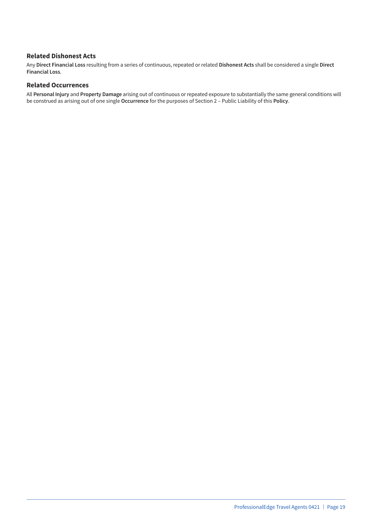#### **Related Dishonest Acts**

Any **Direct Financial Loss** resulting from a series of continuous, repeated or related **Dishonest Acts** shall be considered a single **Direct Financial Loss**.

#### **Related Occurrences**

All **Personal Injury** and **Property Damage** arising out of continuous or repeated exposure to substantially the same general conditions will be construed as arising out of one single **Occurrence** for the purposes of Section 2 – Public Liability of this **Policy**.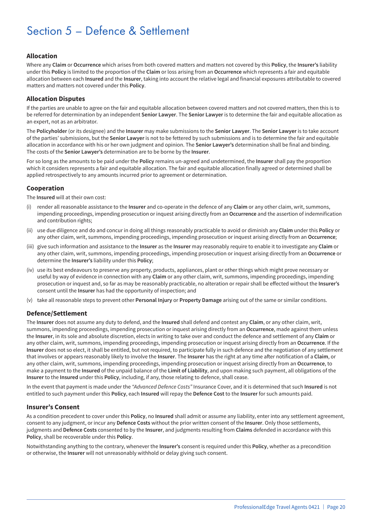## Section 5 – Defence & Settlement

#### **Allocation**

Where any **Claim** or **Occurrence** which arises from both covered matters and matters not covered by this **Policy**, the **Insurer's** liability under this **Policy** is limited to the proportion of the **Claim** or loss arising from an **Occurrence** which represents a fair and equitable allocation between each **Insured** and the **Insurer**, taking into account the relative legal and financial exposures attributable to covered matters and matters not covered under this **Policy**.

#### **Allocation Disputes**

If the parties are unable to agree on the fair and equitable allocation between covered matters and not covered matters, then this is to be referred for determination by an independent **Senior Lawyer**. The **Senior Lawyer** is to determine the fair and equitable allocation as an expert, not as an arbitrator.

The **Policyholder** (or its designee) and the **Insurer** may make submissions to the **Senior Lawyer**. The **Senior Lawyer** is to take account of the parties' submissions, but the **Senior Lawyer** is not to be fettered by such submissions and is to determine the fair and equitable allocation in accordance with his or her own judgment and opinion. The **Senior Lawyer's** determination shall be final and binding. The costs of the **Senior Lawyer's** determination are to be borne by the **Insurer**.

For so long as the amounts to be paid under the **Policy** remains un-agreed and undetermined, the **Insurer** shall pay the proportion which it considers represents a fair and equitable allocation. The fair and equitable allocation finally agreed or determined shall be applied retrospectively to any amounts incurred prior to agreement or determination.

#### **Cooperation**

The **Insured** will at their own cost:

- (i) render all reasonable assistance to the **Insurer** and co-operate in the defence of any **Claim** or any other claim, writ, summons, impending proceedings, impending prosecution or inquest arising directly from an **Occurrence** and the assertion of indemnification and contribution rights;
- (ii) use due diligence and do and concur in doing all things reasonably practicable to avoid or diminish any **Claim** under this **Policy** or any other claim, writ, summons, impending proceedings, impending prosecution or inquest arising directly from an **Occurrence**;
- (iii) give such information and assistance to the **Insurer** as the **Insurer** may reasonably require to enable it to investigate any **Claim** or any other claim, writ, summons, impending proceedings, impending prosecution or inquest arising directly from an **Occurrence** or determine the **Insurer's** liability under this **Policy**;
- (iv) use its best endeavours to preserve any property, products, appliances, plant or other things which might prove necessary or useful by way of evidence in connection with any **Claim** or any other claim, writ, summons, impending proceedings, impending prosecution or inquest and, so far as may be reasonably practicable, no alteration or repair shall be effected without the **Insurer's** consent until the **Insurer** has had the opportunity of inspection; and
- (v) take all reasonable steps to prevent other **Personal Injury** or **Property Damage** arising out of the same or similar conditions.

#### **Defence/Settlement**

The **Insurer** does not assume any duty to defend, and the **Insured** shall defend and contest any **Claim**, or any other claim, writ, summons, impending proceedings, impending prosecution or inquest arising directly from an **Occurrence**, made against them unless the **Insurer**, in its sole and absolute discretion, elects in writing to take over and conduct the defence and settlement of any **Claim** or any other claim, writ, summons, impending proceedings, impending prosecution or inquest arising directly from an **Occurrence**. If the **Insurer** does not so elect, it shall be entitled, but not required, to participate fully in such defence and the negotiation of any settlement that involves or appears reasonably likely to involve the **Insurer**. The **Insurer** has the right at any time after notification of a **Claim**, or any other claim, writ, summons, impending proceedings, impending prosecution or inquest arising directly from an **Occurrence**, to make a payment to the **Insured** of the unpaid balance of the **Limit of Liability**, and upon making such payment, all obligations of the **Insurer** to the **Insured** under this **Policy**, including, if any, those relating to defence, shall cease.

In the event that payment is made under the *"Advanced Defence Costs"* Insurance Cover, and it is determined that such **Insured** is not entitled to such payment under this **Policy**, each **Insured** will repay the **Defence Cost** to the **Insurer** for such amounts paid.

#### **Insurer's Consent**

As a condition precedent to cover under this **Policy**, no **Insured** shall admit or assume any liability, enter into any settlement agreement, consent to any judgment, or incur any **Defence Costs** without the prior written consent of the **Insurer**. Only those settlements, judgments and **Defence Costs** consented to by the **Insurer**, and judgments resulting from **Claims** defended in accordance with this **Policy**, shall be recoverable under this **Policy**.

Notwithstanding anything to the contrary, whenever the **Insurer's** consent is required under this **Policy**, whether as a precondition or otherwise, the **Insurer** will not unreasonably withhold or delay giving such consent.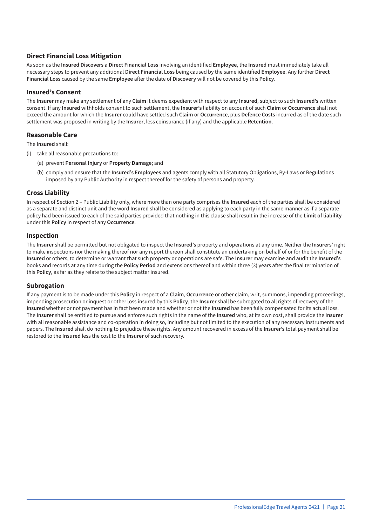#### **Direct Financial Loss Mitigation**

As soon as the **Insured Discovers** a **Direct Financial Loss** involving an identified **Employee**, the **Insured** must immediately take all necessary steps to prevent any additional **Direct Financial Loss** being caused by the same identified **Employee**. Any further **Direct Financial Loss** caused by the same **Employee** after the date of **Discovery** will not be covered by this **Policy**.

#### **Insured's Consent**

The **Insurer** may make any settlement of any **Claim** it deems expedient with respect to any **Insured**, subject to such **Insured's** written consent. If any **Insured** withholds consent to such settlement, the **Insurer's** liability on account of such **Claim** or **Occurrence** shall not exceed the amount for which the **Insurer** could have settled such **Claim** or **Occurrence**, plus **Defence Costs** incurred as of the date such settlement was proposed in writing by the **Insurer**, less coinsurance (if any) and the applicable **Retention**.

#### **Reasonable Care**

The **Insured** shall:

- (i) take all reasonable precautions to:
	- (a) prevent **Personal Injury** or **Property Damage**; and
	- (b) comply and ensure that the **Insured's Employees** and agents comply with all Statutory Obligations, By-Laws or Regulations imposed by any Public Authority in respect thereof for the safety of persons and property.

#### **Cross Liability**

In respect of Section 2 – Public Liability only, where more than one party comprises the **Insured** each of the parties shall be considered as a separate and distinct unit and the word **Insured** shall be considered as applying to each party in the same manner as if a separate policy had been issued to each of the said parties provided that nothing in this clause shall result in the increase of the **Limit of liability** under this **Policy** in respect of any **Occurrence**.

#### **Inspection**

The **Insurer** shall be permitted but not obligated to inspect the **Insured's** property and operations at any time. Neither the **Insurers'** right to make inspections nor the making thereof nor any report thereon shall constitute an undertaking on behalf of or for the benefit of the **Insured** or others, to determine or warrant that such property or operations are safe. The **Insurer** may examine and audit the **Insured's** books and records at any time during the **Policy Period** and extensions thereof and within three (3) years after the final termination of this **Policy**, as far as they relate to the subject matter insured.

#### **Subrogation**

If any payment is to be made under this **Policy** in respect of a **Claim**, **Occurrence** or other claim, writ, summons, impending proceedings, impending prosecution or inquest or other loss insured by this **Policy**, the **Insurer** shall be subrogated to all rights of recovery of the **Insured** whether or not payment has in fact been made and whether or not the **Insured** has been fully compensated for its actual loss. The **Insurer** shall be entitled to pursue and enforce such rights in the name of the **Insured** who, at its own cost, shall provide the **Insurer** with all reasonable assistance and co-operation in doing so, including but not limited to the execution of any necessary instruments and papers. The **Insured** shall do nothing to prejudice these rights. Any amount recovered in excess of the **Insurer's** total payment shall be restored to the **Insured** less the cost to the **Insurer** of such recovery.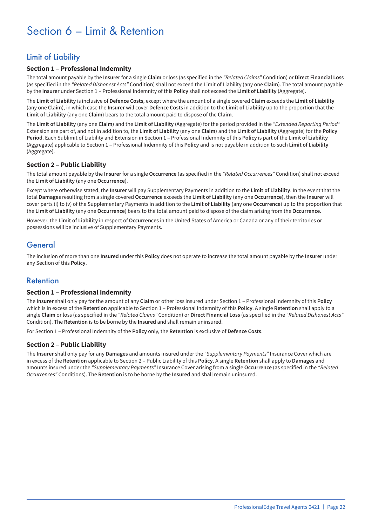## Section 6 – Limit & Retention

## Limit of Liability

#### **Section 1 – Professional Indemnity**

The total amount payable by the **Insurer** for a single **Claim** or loss (as specified in the *"Related Claims"* Condition) or **Direct Financial Loss** (as specified in the *"Related Dishonest Acts"* Condition) shall not exceed the Limit of Liability (any one **Claim**). The total amount payable by the **Insurer** under Section 1 – Professional Indemnity of this **Policy** shall not exceed the **Limit of Liability** (Aggregate).

The **Limit of Liability** is inclusive of **Defence Costs**, except where the amount of a single covered **Claim** exceeds the **Limit of Liability** (any one **Claim**), in which case the **Insurer** will cover **Defence Costs** in addition to the **Limit of Liability** up to the proportion that the **Limit of Liability** (any one **Claim**) bears to the total amount paid to dispose of the **Claim**.

The **Limit of Liability** (any one **Claim**) and the **Limit of Liability** (Aggregate) for the period provided in the *"Extended Reporting Period"* Extension are part of, and not in addition to, the **Limit of Liability** (any one **Claim**) and the **Limit of Liability** (Aggregate) for the **Policy Period**. Each Sublimit of Liability and Extension in Section 1 – Professional Indemnity of this **Policy** is part of the **Limit of Liability** (Aggregate) applicable to Section 1 – Professional Indemnity of this **Policy** and is not payable in addition to such **Limit of Liability** (Aggregate).

#### **Section 2 – Public Liability**

The total amount payable by the **Insurer** for a single **Occurrence** (as specified in the *"Related Occurrences"* Condition) shall not exceed the **Limit of Liability** (any one **Occurrence**).

Except where otherwise stated, the **Insurer** will pay Supplementary Payments in addition to the **Limit of Liability**. In the event that the total **Damages** resulting from a single covered **Occurrence** exceeds the **Limit of Liability** (any one **Occurrence**), then the **Insurer** will cover parts (i) to (v) of the Supplementary Payments in addition to the **Limit of Liability** (any one **Occurrence**) up to the proportion that the **Limit of Liability** (any one **Occurrence**) bears to the total amount paid to dispose of the claim arising from the **Occurrence**.

However, the **Limit of Liability** in respect of **Occurrences** in the United States of America or Canada or any of their territories or possessions will be inclusive of Supplementary Payments.

### General

The inclusion of more than one **Insured** under this **Policy** does not operate to increase the total amount payable by the **Insurer** under any Section of this **Policy**.

### Retention

#### **Section 1 – Professional Indemnity**

The **Insurer** shall only pay for the amount of any **Claim** or other loss insured under Section 1 – Professional Indemnity of this **Policy** which is in excess of the **Retention** applicable to Section 1 – Professional Indemnity of this **Policy**. A single **Retention** shall apply to a single **Claim** or loss (as specified in the *"Related Claims"* Condition) or **Direct Financial Loss** (as specified in the *"Related Dishonest Acts"* Condition). The **Retention** is to be borne by the **Insured** and shall remain uninsured.

For Section 1 – Professional Indemnity of the **Policy** only, the **Retention** is exclusive of **Defence Costs**.

#### **Section 2 – Public Liability**

The **Insurer** shall only pay for any **Damages** and amounts insured under the *"Supplementary Payments"* Insurance Cover which are in excess of the **Retention** applicable to Section 2 – Public Liability of this **Policy**. A single **Retention** shall apply to **Damages** and amounts insured under the *"Supplementary Payments"* Insurance Cover arising from a single **Occurrence** (as specified in the *"Related Occurrences"* Conditions). The **Retention** is to be borne by the **Insured** and shall remain uninsured.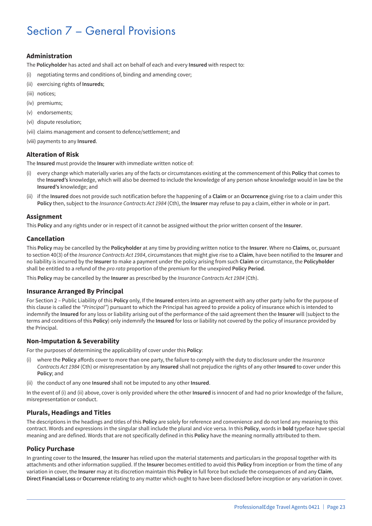## Section 7 – General Provisions

#### **Administration**

The **Policyholder** has acted and shall act on behalf of each and every **Insured** with respect to:

- (i) negotiating terms and conditions of, binding and amending cover;
- (ii) exercising rights of **Insureds**;
- (iii) notices;
- (iv) premiums;
- (v) endorsements;
- (vi) dispute resolution;
- (vii) claims management and consent to defence/settlement; and
- (viii) payments to any **Insured**.

#### **Alteration of Risk**

The **Insured** must provide the **Insurer** with immediate written notice of:

- (i) every change which materially varies any of the facts or circumstances existing at the commencement of this **Policy** that comes to the **Insured's** knowledge, which will also be deemed to include the knowledge of any person whose knowledge would in law be the **Insured's** knowledge; and
- (ii) if the **Insured** does not provide such notification before the happening of a **Claim** or an **Occurrence** giving rise to a claim under this **Policy** then, subject to the *Insurance Contracts Act 1984* (Cth), the **Insurer** may refuse to pay a claim, either in whole or in part.

#### **Assignment**

This **Policy** and any rights under or in respect of it cannot be assigned without the prior written consent of the **Insurer**.

#### **Cancellation**

This **Policy** may be cancelled by the **Policyholder** at any time by providing written notice to the **Insurer**. Where no **Claims**, or, pursuant to section 40(3) of the *Insurance Contracts Act 1984*, circumstances that might give rise to a **Claim**, have been notified to the **Insurer** and no liability is incurred by the **Insurer** to make a payment under the policy arising from such **Claim** or circumstance, the **Policyholder** shall be entitled to a refund of the *pro rata* proportion of the premium for the unexpired **Policy Period**.

This **Policy** may be cancelled by the **Insurer** as prescribed by the *Insurance Contracts Act 1984* (Cth).

#### **Insurance Arranged By Principal**

For Section 2 – Public Liability of this **Policy** only, If the **Insured** enters into an agreement with any other party (who for the purpose of this clause is called the *"Principal"*) pursuant to which the Principal has agreed to provide a policy of insurance which is intended to indemnify the **Insured** for any loss or liability arising out of the performance of the said agreement then the **Insurer** will (subject to the terms and conditions of this **Policy**) only indemnify the **Insured** for loss or liability not covered by the policy of insurance provided by the Principal.

#### **Non-Imputation & Severability**

For the purposes of determining the applicability of cover under this **Policy**:

- (i) where the **Policy** affords cover to more than one party, the failure to comply with the duty to disclosure under the *Insurance Contracts Act 1984* (Cth) or misrepresentation by any **Insured** shall not prejudice the rights of any other **Insured** to cover under this **Policy**; and
- (ii) the conduct of any one **Insured** shall not be imputed to any other **Insured**.

In the event of (i) and (ii) above, cover is only provided where the other **Insured** is innocent of and had no prior knowledge of the failure, misrepresentation or conduct.

#### **Plurals, Headings and Titles**

The descriptions in the headings and titles of this **Policy** are solely for reference and convenience and do not lend any meaning to this contract. Words and expressions in the singular shall include the plural and vice versa. In this **Policy**, words in **bold** typeface have special meaning and are defined. Words that are not specifically defined in this **Policy** have the meaning normally attributed to them.

#### **Policy Purchase**

In granting cover to the **Insured**, the **Insurer** has relied upon the material statements and particulars in the proposal together with its attachments and other information supplied. If the **Insurer** becomes entitled to avoid this **Policy** from inception or from the time of any variation in cover, the **Insurer** may at its discretion maintain this **Policy** in full force but exclude the consequences of and any **Claim**, **Direct Financial Loss** or **Occurrence** relating to any matter which ought to have been disclosed before inception or any variation in cover.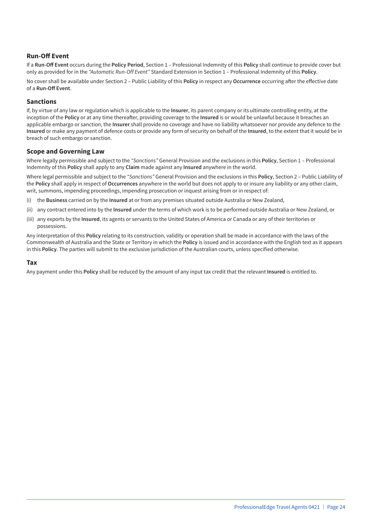#### **Run-Off Event**

If a **Run-Off Event** occurs during the **Policy Period**, Section 1 – Professional Indemnity of this **Policy** shall continue to provide cover but only as provided for in the *"Automatic Run-Off Event"* Standard Extension in Section 1 – Professional Indemnity of this **Policy**.

No cover shall be available under Section 2 – Public Liability of this **Policy** in respect any **Occurrence** occurring after the effective date of a **Run-Off Event**.

#### **Sanctions**

If, by virtue of any law or regulation which is applicable to the **Insurer**, its parent company or its ultimate controlling entity, at the inception of the **Policy** or at any time thereafter, providing coverage to the **Insured** is or would be unlawful because it breaches an applicable embargo or sanction, the **Insurer** shall provide no coverage and have no liability whatsoever nor provide any defence to the **Insured** or make any payment of defence costs or provide any form of security on behalf of the **Insured**, to the extent that it would be in breach of such embargo or sanction.

#### **Scope and Governing Law**

Where legally permissible and subject to the *"Sanctions"* General Provision and the exclusions in this **Policy**, Section 1 – Professional Indemnity of this **Policy** shall apply to any **Claim** made against any **Insured** anywhere in the world.

Where legal permissible and subject to the *"Sanctions"* General Provision and the exclusions in this **Policy**, Section 2 – Public Liability of the **Policy** shall apply in respect of **Occurrences** anywhere in the world but does not apply to or insure any liability or any other claim, writ, summons, impending proceedings, impending prosecution or inquest arising from or in respect of:

- (i) the **Business** carried on by the **Insured** at or from any premises situated outside Australia or New Zealand,
- (ii) any contract entered into by the **Insured** under the terms of which work is to be performed outside Australia or New Zealand, or
- (iii) any exports by the **Insured**, its agents or servants to the United States of America or Canada or any of their territories or possessions.

Any interpretation of this **Policy** relating to its construction, validity or operation shall be made in accordance with the laws of the Commonwealth of Australia and the State or Territory in which the **Policy** is issued and in accordance with the English text as it appears in this **Policy**. The parties will submit to the exclusive jurisdiction of the Australian courts, unless specified otherwise.

#### **Tax**

Any payment under this **Policy** shall be reduced by the amount of any input tax credit that the relevant **Insured** is entitled to.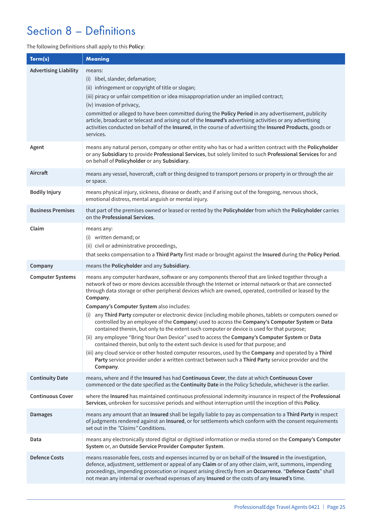## Section 8 – Definitions

#### The following Definitions shall apply to this **Policy**:

| Term(s)                      | <b>Meaning</b>                                                                                                                                                                                                                                                                                                                                                                                                                                                                                                                                                                                                                                                                                                                                                                                                                                                                                                                                                                                                                                                                                                         |
|------------------------------|------------------------------------------------------------------------------------------------------------------------------------------------------------------------------------------------------------------------------------------------------------------------------------------------------------------------------------------------------------------------------------------------------------------------------------------------------------------------------------------------------------------------------------------------------------------------------------------------------------------------------------------------------------------------------------------------------------------------------------------------------------------------------------------------------------------------------------------------------------------------------------------------------------------------------------------------------------------------------------------------------------------------------------------------------------------------------------------------------------------------|
| <b>Advertising Liability</b> | means:<br>(i) libel, slander, defamation;<br>(ii) infringement or copyright of title or slogan;<br>(iii) piracy or unfair competition or idea misappropriation under an implied contract;<br>(iv) invasion of privacy,<br>committed or alleged to have been committed during the Policy Period in any advertisement, publicity<br>article, broadcast or telecast and arising out of the Insured's advertising activities or any advertising<br>activities conducted on behalf of the Insured, in the course of advertising the Insured Products, goods or<br>services.                                                                                                                                                                                                                                                                                                                                                                                                                                                                                                                                                 |
| Agent                        | means any natural person, company or other entity who has or had a written contract with the Policyholder<br>or any Subsidiary to provide Professional Services, but solely limited to such Professional Services for and<br>on behalf of Policyholder or any Subsidiary.                                                                                                                                                                                                                                                                                                                                                                                                                                                                                                                                                                                                                                                                                                                                                                                                                                              |
| Aircraft                     | means any vessel, hovercraft, craft or thing designed to transport persons or property in or through the air<br>or space.                                                                                                                                                                                                                                                                                                                                                                                                                                                                                                                                                                                                                                                                                                                                                                                                                                                                                                                                                                                              |
| <b>Bodily Injury</b>         | means physical injury, sickness, disease or death; and if arising out of the foregoing, nervous shock,<br>emotional distress, mental anguish or mental injury.                                                                                                                                                                                                                                                                                                                                                                                                                                                                                                                                                                                                                                                                                                                                                                                                                                                                                                                                                         |
| <b>Business Premises</b>     | that part of the premises owned or leased or rented by the Policyholder from which the Policyholder carries<br>on the Professional Services.                                                                                                                                                                                                                                                                                                                                                                                                                                                                                                                                                                                                                                                                                                                                                                                                                                                                                                                                                                           |
| Claim                        | means any:<br>(i) written demand; or<br>(ii) civil or administrative proceedings,<br>that seeks compensation to a Third Party first made or brought against the Insured during the Policy Period.                                                                                                                                                                                                                                                                                                                                                                                                                                                                                                                                                                                                                                                                                                                                                                                                                                                                                                                      |
| Company                      | means the Policyholder and any Subsidiary.                                                                                                                                                                                                                                                                                                                                                                                                                                                                                                                                                                                                                                                                                                                                                                                                                                                                                                                                                                                                                                                                             |
| <b>Computer Systems</b>      | means any computer hardware, software or any components thereof that are linked together through a<br>network of two or more devices accessible through the Internet or internal network or that are connected<br>through data storage or other peripheral devices which are owned, operated, controlled or leased by the<br>Company.<br>Company's Computer System also includes:<br>(i) any Third Party computer or electronic device (including mobile phones, tablets or computers owned or<br>controlled by an employee of the Company) used to access the Company's Computer System or Data<br>contained therein, but only to the extent such computer or device is used for that purpose;<br>(ii) any employee "Bring Your Own Device" used to access the Company's Computer System or Data<br>contained therein, but only to the extent such device is used for that purpose; and<br>(iii) any cloud service or other hosted computer resources, used by the Company and operated by a Third<br>Party service provider under a written contract between such a Third Party service provider and the<br>Company. |
| <b>Continuity Date</b>       | means, where and if the Insured has had Continuous Cover, the date at which Continuous Cover<br>commenced or the date specified as the Continuity Date in the Policy Schedule, whichever is the earlier.                                                                                                                                                                                                                                                                                                                                                                                                                                                                                                                                                                                                                                                                                                                                                                                                                                                                                                               |
| <b>Continuous Cover</b>      | where the Insured has maintained continuous professional indemnity insurance in respect of the Professional<br>Services, unbroken for successive periods and without interruption until the inception of this Policy.                                                                                                                                                                                                                                                                                                                                                                                                                                                                                                                                                                                                                                                                                                                                                                                                                                                                                                  |
| <b>Damages</b>               | means any amount that an Insured shall be legally liable to pay as compensation to a Third Party in respect<br>of judgments rendered against an Insured, or for settlements which conform with the consent requirements<br>set out in the "Claims" Conditions.                                                                                                                                                                                                                                                                                                                                                                                                                                                                                                                                                                                                                                                                                                                                                                                                                                                         |
| Data                         | means any electronically stored digital or digitised information or media stored on the Company's Computer<br>System or, an Outside Service Provider Computer System.                                                                                                                                                                                                                                                                                                                                                                                                                                                                                                                                                                                                                                                                                                                                                                                                                                                                                                                                                  |
| <b>Defence Costs</b>         | means reasonable fees, costs and expenses incurred by or on behalf of the Insured in the investigation,<br>defence, adjustment, settlement or appeal of any Claim or of any other claim, writ, summons, impending<br>proceedings, impending prosecution or inquest arising directly from an Occurrence. "Defence Costs" shall<br>not mean any internal or overhead expenses of any Insured or the costs of any Insured's time.                                                                                                                                                                                                                                                                                                                                                                                                                                                                                                                                                                                                                                                                                         |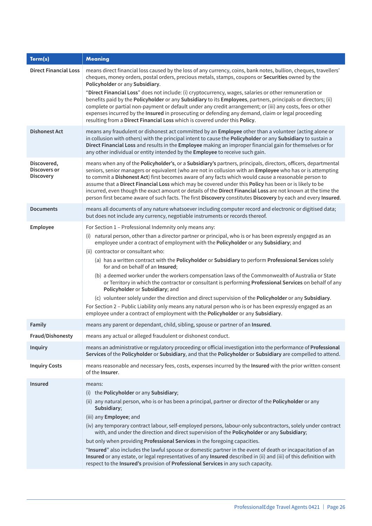| Term(s)                                         | <b>Meaning</b>                                                                                                                                                                                                                                                                                                                                                                                                                                                                                                                                                                                                                                                                   |
|-------------------------------------------------|----------------------------------------------------------------------------------------------------------------------------------------------------------------------------------------------------------------------------------------------------------------------------------------------------------------------------------------------------------------------------------------------------------------------------------------------------------------------------------------------------------------------------------------------------------------------------------------------------------------------------------------------------------------------------------|
| <b>Direct Financial Loss</b>                    | means direct financial loss caused by the loss of any currency, coins, bank notes, bullion, cheques, travellers'<br>cheques, money orders, postal orders, precious metals, stamps, coupons or Securities owned by the<br>Policyholder or any Subsidiary.                                                                                                                                                                                                                                                                                                                                                                                                                         |
|                                                 | "Direct Financial Loss" does not include: (i) cryptocurrency, wages, salaries or other remuneration or<br>benefits paid by the Policyholder or any Subsidiary to its Employees, partners, principals or directors; (ii)<br>complete or partial non-payment or default under any credit arrangement; or (iii) any costs, fees or other<br>expenses incurred by the Insured in prosecuting or defending any demand, claim or legal proceeding<br>resulting from a Direct Financial Loss which is covered under this Policy.                                                                                                                                                        |
| <b>Dishonest Act</b>                            | means any fraudulent or dishonest act committed by an Employee other than a volunteer (acting alone or<br>in collusion with others) with the principal intent to cause the Policyholder or any Subsidiary to sustain a<br>Direct Financial Loss and results in the Employee making an improper financial gain for themselves or for<br>any other individual or entity intended by the Employee to receive such gain.                                                                                                                                                                                                                                                             |
| Discovered,<br>Discovers or<br><b>Discovery</b> | means when any of the Policyholder's, or a Subsidiary's partners, principals, directors, officers, departmental<br>seniors, senior managers or equivalent (who are not in collusion with an Employee who has or is attempting<br>to commit a Dishonest Act) first becomes aware of any facts which would cause a reasonable person to<br>assume that a Direct Financial Loss which may be covered under this Policy has been or is likely to be<br>incurred, even though the exact amount or details of the Direct Financial Loss are not known at the time the<br>person first became aware of such facts. The first Discovery constitutes Discovery by each and every Insured. |
| <b>Documents</b>                                | means all documents of any nature whatsoever including computer record and electronic or digitised data;<br>but does not include any currency, negotiable instruments or records thereof.                                                                                                                                                                                                                                                                                                                                                                                                                                                                                        |
| Employee                                        | For Section 1 - Professional Indemnity only means any:                                                                                                                                                                                                                                                                                                                                                                                                                                                                                                                                                                                                                           |
|                                                 | (i) natural person, other than a director partner or principal, who is or has been expressly engaged as an<br>employee under a contract of employment with the Policyholder or any Subsidiary; and                                                                                                                                                                                                                                                                                                                                                                                                                                                                               |
|                                                 | (ii) contractor or consultant who:                                                                                                                                                                                                                                                                                                                                                                                                                                                                                                                                                                                                                                               |
|                                                 | (a) has a written contract with the Policyholder or Subsidiary to perform Professional Services solely<br>for and on behalf of an Insured;                                                                                                                                                                                                                                                                                                                                                                                                                                                                                                                                       |
|                                                 | (b) a deemed worker under the workers compensation laws of the Commonwealth of Australia or State<br>or Territory in which the contractor or consultant is performing Professional Services on behalf of any<br>Policyholder or Subsidiary; and                                                                                                                                                                                                                                                                                                                                                                                                                                  |
|                                                 | (c) volunteer solely under the direction and direct supervision of the Policyholder or any Subsidiary.                                                                                                                                                                                                                                                                                                                                                                                                                                                                                                                                                                           |
|                                                 | For Section 2 - Public Liability only means any natural person who is or has been expressly engaged as an<br>employee under a contract of employment with the Policyholder or any Subsidiary.                                                                                                                                                                                                                                                                                                                                                                                                                                                                                    |
| Family                                          | means any parent or dependant, child, sibling, spouse or partner of an Insured.                                                                                                                                                                                                                                                                                                                                                                                                                                                                                                                                                                                                  |
| Fraud/Dishonesty                                | means any actual or alleged fraudulent or dishonest conduct.                                                                                                                                                                                                                                                                                                                                                                                                                                                                                                                                                                                                                     |
| <b>Inquiry</b>                                  | means an administrative or regulatory proceeding or official investigation into the performance of Professional<br>Services of the Policyholder or Subsidiary, and that the Policyholder or Subsidiary are compelled to attend.                                                                                                                                                                                                                                                                                                                                                                                                                                                  |
| <b>Inquiry Costs</b>                            | means reasonable and necessary fees, costs, expenses incurred by the Insured with the prior written consent<br>of the <b>Insurer</b> .                                                                                                                                                                                                                                                                                                                                                                                                                                                                                                                                           |
| <b>Insured</b>                                  | means:                                                                                                                                                                                                                                                                                                                                                                                                                                                                                                                                                                                                                                                                           |
|                                                 | (i) the Policyholder or any Subsidiary;                                                                                                                                                                                                                                                                                                                                                                                                                                                                                                                                                                                                                                          |
|                                                 | (ii) any natural person, who is or has been a principal, partner or director of the Policyholder or any<br>Subsidiary;                                                                                                                                                                                                                                                                                                                                                                                                                                                                                                                                                           |
|                                                 | (iii) any Employee; and                                                                                                                                                                                                                                                                                                                                                                                                                                                                                                                                                                                                                                                          |
|                                                 | (iv) any temporary contract labour, self-employed persons, labour-only subcontractors, solely under contract<br>with, and under the direction and direct supervision of the Policyholder or any Subsidiary;                                                                                                                                                                                                                                                                                                                                                                                                                                                                      |
|                                                 | but only when providing Professional Services in the foregoing capacities.                                                                                                                                                                                                                                                                                                                                                                                                                                                                                                                                                                                                       |
|                                                 | "Insured" also includes the lawful spouse or domestic partner in the event of death or incapacitation of an<br>Insured or any estate, or legal representatives of any Insured described in (ii) and (iii) of this definition with<br>respect to the Insured's provision of Professional Services in any such capacity.                                                                                                                                                                                                                                                                                                                                                           |
|                                                 |                                                                                                                                                                                                                                                                                                                                                                                                                                                                                                                                                                                                                                                                                  |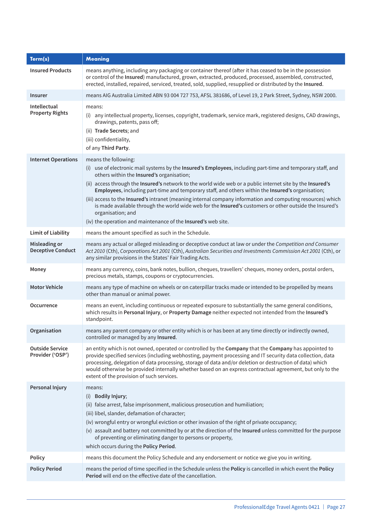| Term(s)                                    | <b>Meaning</b>                                                                                                                                                                                                                                                                                                                                                                                                                                                                            |
|--------------------------------------------|-------------------------------------------------------------------------------------------------------------------------------------------------------------------------------------------------------------------------------------------------------------------------------------------------------------------------------------------------------------------------------------------------------------------------------------------------------------------------------------------|
| <b>Insured Products</b>                    | means anything, including any packaging or container thereof (after it has ceased to be in the possession<br>or control of the Insured) manufactured, grown, extracted, produced, processed, assembled, constructed,<br>erected, installed, repaired, serviced, treated, sold, supplied, resupplied or distributed by the Insured.                                                                                                                                                        |
| Insurer                                    | means AIG Australia Limited ABN 93 004 727 753, AFSL 381686, of Level 19, 2 Park Street, Sydney, NSW 2000.                                                                                                                                                                                                                                                                                                                                                                                |
| Intellectual<br><b>Property Rights</b>     | means:<br>(i) any intellectual property, licenses, copyright, trademark, service mark, registered designs, CAD drawings,<br>drawings, patents, pass off;<br>(ii) Trade Secrets; and<br>(iii) confidentiality,<br>of any Third Party.                                                                                                                                                                                                                                                      |
| <b>Internet Operations</b>                 | means the following:                                                                                                                                                                                                                                                                                                                                                                                                                                                                      |
|                                            | (i) use of electronic mail systems by the Insured's Employees, including part-time and temporary staff, and<br>others within the Insured's organisation;                                                                                                                                                                                                                                                                                                                                  |
|                                            | (ii) access through the Insured's network to the world wide web or a public internet site by the Insured's<br>Employees, including part-time and temporary staff, and others within the Insured's organisation;<br>(iii) access to the Insured's intranet (meaning internal company information and computing resources) which<br>is made available through the world wide web for the Insured's customers or other outside the Insured's<br>organisation; and                            |
|                                            | (iv) the operation and maintenance of the Insured's web site.                                                                                                                                                                                                                                                                                                                                                                                                                             |
| <b>Limit of Liability</b>                  | means the amount specified as such in the Schedule.                                                                                                                                                                                                                                                                                                                                                                                                                                       |
| Misleading or<br><b>Deceptive Conduct</b>  | means any actual or alleged misleading or deceptive conduct at law or under the Competition and Consumer<br>Act 2010 (Cth), Corporations Act 2001 (Cth), Australian Securities and Investments Commission Act 2001 (Cth), or<br>any similar provisions in the States' Fair Trading Acts.                                                                                                                                                                                                  |
| Money                                      | means any currency, coins, bank notes, bullion, cheques, travellers' cheques, money orders, postal orders,<br>precious metals, stamps, coupons or cryptocurrencies.                                                                                                                                                                                                                                                                                                                       |
| <b>Motor Vehicle</b>                       | means any type of machine on wheels or on caterpillar tracks made or intended to be propelled by means<br>other than manual or animal power.                                                                                                                                                                                                                                                                                                                                              |
| Occurrence                                 | means an event, including continuous or repeated exposure to substantially the same general conditions,<br>which results in Personal Injury, or Property Damage neither expected not intended from the Insured's<br>standpoint.                                                                                                                                                                                                                                                           |
| Organisation                               | means any parent company or other entity which is or has been at any time directly or indirectly owned,<br>controlled or managed by any Insured.                                                                                                                                                                                                                                                                                                                                          |
| <b>Outside Service</b><br>Provider ('OSP') | an entity which is not owned, operated or controlled by the Company that the Company has appointed to<br>provide specified services (including webhosting, payment processing and IT security data collection, data<br>processing, delegation of data processing, storage of data and/or deletion or destruction of data) which<br>would otherwise be provided internally whether based on an express contractual agreement, but only to the<br>extent of the provision of such services. |
| Personal Injury                            | means:<br>(i) Bodily Injury;<br>(ii) false arrest, false imprisonment, malicious prosecution and humiliation;<br>(iii) libel, slander, defamation of character;<br>(iv) wrongful entry or wrongful eviction or other invasion of the right of private occupancy;<br>(v) assault and battery not committed by or at the direction of the Insured unless committed for the purpose<br>of preventing or eliminating danger to persons or property,<br>which occurs during the Policy Period. |
| <b>Policy</b>                              | means this document the Policy Schedule and any endorsement or notice we give you in writing.                                                                                                                                                                                                                                                                                                                                                                                             |
| <b>Policy Period</b>                       | means the period of time specified in the Schedule unless the Policy is cancelled in which event the Policy<br>Period will end on the effective date of the cancellation.                                                                                                                                                                                                                                                                                                                 |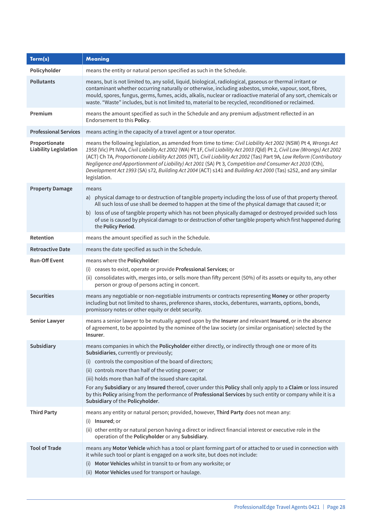| Term(s)                                       | <b>Meaning</b>                                                                                                                                                                                                                                                                                                                                                                                                                                                                                                                                                                                                  |
|-----------------------------------------------|-----------------------------------------------------------------------------------------------------------------------------------------------------------------------------------------------------------------------------------------------------------------------------------------------------------------------------------------------------------------------------------------------------------------------------------------------------------------------------------------------------------------------------------------------------------------------------------------------------------------|
| Policyholder                                  | means the entity or natural person specified as such in the Schedule.                                                                                                                                                                                                                                                                                                                                                                                                                                                                                                                                           |
| <b>Pollutants</b>                             | means, but is not limited to, any solid, liquid, biological, radiological, gaseous or thermal irritant or<br>contaminant whether occurring naturally or otherwise, including asbestos, smoke, vapour, soot, fibres,<br>mould, spores, fungus, germs, fumes, acids, alkalis, nuclear or radioactive material of any sort, chemicals or<br>waste. "Waste" includes, but is not limited to, material to be recycled, reconditioned or reclaimed.                                                                                                                                                                   |
| Premium                                       | means the amount specified as such in the Schedule and any premium adjustment reflected in an<br>Endorsement to this Policy.                                                                                                                                                                                                                                                                                                                                                                                                                                                                                    |
| <b>Professional Services</b>                  | means acting in the capacity of a travel agent or a tour operator.                                                                                                                                                                                                                                                                                                                                                                                                                                                                                                                                              |
| Proportionate<br><b>Liability Legislation</b> | means the following legislation, as amended from time to time: Civil Liability Act 2002 (NSW) Pt 4, Wrongs Act<br>1958 (Vic) Pt IVAA, Civil Liability Act 2002 (WA) Pt 1F, Civil Liability Act 2003 (Qld) Pt 2, Civil Law (Wrongs) Act 2002<br>(ACT) Ch 7A, Proportionate Liability Act 2005 (NT), Civil Liability Act 2002 (Tas) Part 9A, Law Reform (Contributory<br>Negligence and Apportionment of Liability) Act 2001 (SA) Pt 3, Competition and Consumer Act 2010 (Cth),<br>Development Act 1993 (SA) s72, Building Act 2004 (ACT) s141 and Building Act 2000 (Tas) s252, and any similar<br>legislation. |
| <b>Property Damage</b>                        | means                                                                                                                                                                                                                                                                                                                                                                                                                                                                                                                                                                                                           |
|                                               | a) physical damage to or destruction of tangible property including the loss of use of that property thereof.<br>All such loss of use shall be deemed to happen at the time of the physical damage that caused it; or<br>b) loss of use of tangible property which has not been physically damaged or destroyed provided such loss<br>of use is caused by physical damage to or destruction of other tangible property which first happened during<br>the Policy Period.                                                                                                                                        |
| Retention                                     | means the amount specified as such in the Schedule.                                                                                                                                                                                                                                                                                                                                                                                                                                                                                                                                                             |
| <b>Retroactive Date</b>                       | means the date specified as such in the Schedule.                                                                                                                                                                                                                                                                                                                                                                                                                                                                                                                                                               |
| <b>Run-Off Event</b>                          | means where the Policyholder:<br>ceases to exist, operate or provide Professional Services; or<br>(i)<br>(ii) consolidates with, merges into, or sells more than fifty percent (50%) of its assets or equity to, any other<br>person or group of persons acting in concert.                                                                                                                                                                                                                                                                                                                                     |
| <b>Securities</b>                             | means any negotiable or non-negotiable instruments or contracts representing Money or other property<br>including but not limited to shares, preference shares, stocks, debentures, warrants, options, bonds,<br>promissory notes or other equity or debt security.                                                                                                                                                                                                                                                                                                                                             |
| <b>Senior Lawyer</b>                          | means a senior lawyer to be mutually agreed upon by the Insurer and relevant Insured, or in the absence<br>of agreement, to be appointed by the nominee of the law society (or similar organisation) selected by the<br>Insurer.                                                                                                                                                                                                                                                                                                                                                                                |
| Subsidiary                                    | means companies in which the Policyholder either directly, or indirectly through one or more of its<br>Subsidiaries, currently or previously;<br>(i) controls the composition of the board of directors;<br>(ii) controls more than half of the voting power; or<br>(iii) holds more than half of the issued share capital.<br>For any Subsidiary or any Insured thereof, cover under this Policy shall only apply to a Claim or loss insured<br>by this Policy arising from the performance of Professional Services by such entity or company while it is a<br>Subsidiary of the Policyholder.                |
| <b>Third Party</b>                            | means any entity or natural person; provided, however, Third Party does not mean any:<br>(i) Insured; or<br>(ii) other entity or natural person having a direct or indirect financial interest or executive role in the<br>operation of the Policyholder or any Subsidiary.                                                                                                                                                                                                                                                                                                                                     |
| <b>Tool of Trade</b>                          | means any Motor Vehicle which has a tool or plant forming part of or attached to or used in connection with<br>it while such tool or plant is engaged on a work site, but does not include:<br>(i) Motor Vehicles whilst in transit to or from any worksite; or<br>(ii) Motor Vehicles used for transport or haulage.                                                                                                                                                                                                                                                                                           |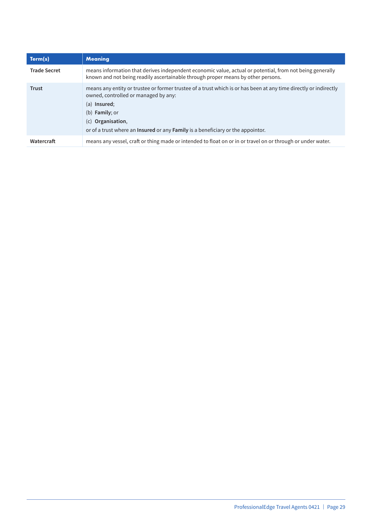| Term(s)             | <b>Meaning</b>                                                                                                                                                                                                                                                                                                     |
|---------------------|--------------------------------------------------------------------------------------------------------------------------------------------------------------------------------------------------------------------------------------------------------------------------------------------------------------------|
| <b>Trade Secret</b> | means information that derives independent economic value, actual or potential, from not being generally<br>known and not being readily ascertainable through proper means by other persons.                                                                                                                       |
| <b>Trust</b>        | means any entity or trustee or former trustee of a trust which is or has been at any time directly or indirectly<br>owned, controlled or managed by any:<br>(a) Insured;<br>(b) Family; or<br>$(c)$ Organisation,<br>or of a trust where an <b>Insured</b> or any <b>Family</b> is a beneficiary or the appointor. |
| Watercraft          | means any vessel, craft or thing made or intended to float on or in or travel on or through or under water.                                                                                                                                                                                                        |